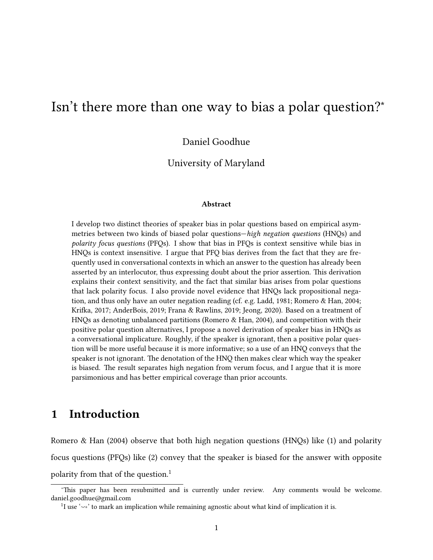# Isn't there more than one way to bias a polar question?<sup>∗</sup>

Daniel Goodhue

University of Maryland

#### Abstract

I develop two distinct theories of speaker bias in polar questions based on empirical asymmetries between two kinds of biased polar questions—high negation questions (HNQs) and polarity focus questions (PFQs). I show that bias in PFQs is context sensitive while bias in HNQs is context insensitive. I argue that PFQ bias derives from the fact that they are frequently used in conversational contexts in which an answer to the question has already been asserted by an interlocutor, thus expressing doubt about the prior assertion. This derivation explains their context sensitivity, and the fact that similar bias arises from polar questions that lack polarity focus. I also provide novel evidence that HNQs lack propositional negation, and thus only have an outer negation reading (cf. e.g. [Ladd, 1981;](#page-44-0) [Romero & Han, 2004;](#page-45-0) Krifka, 2017; [AnderBois, 2019;](#page-41-0) [Frana & Rawlins, 2019;](#page-42-0) [Jeong, 2020\)](#page-43-0). Based on a treatment of HNQs as denoting unbalanced partitions [\(Romero & Han, 2004\)](#page-45-0), and competition with their positive polar question alternatives, I propose a novel derivation of speaker bias in HNQs as a conversational implicature. Roughly, if the speaker is ignorant, then a positive polar question will be more useful because it is more informative; so a use of an HNQ conveys that the speaker is not ignorant. The denotation of the HNQ then makes clear which way the speaker is biased. The result separates high negation from verum focus, and I argue that it is more parsimonious and has better empirical coverage than prior accounts.

# 1 Introduction

[Romero & Han](#page-45-0) [\(2004\)](#page-45-0) observe that both high negation questions (HNQs) like [\(1\)](#page-0-0) and polarity focus questions (PFQs) like [\(2\)](#page-1-0) convey that the speaker is biased for the answer with opposite polarity from that of the question.<sup>[1](#page-0-1)</sup>

<span id="page-0-0"></span><sup>\*</sup>This paper has been resubmitted and is currently under review. Any comments would be welcome. daniel.goodhue@gmail.com

<span id="page-0-1"></span><sup>&</sup>lt;sup>1</sup>I use ' $\sim$ ' to mark an implication while remaining agnostic about what kind of implication it is.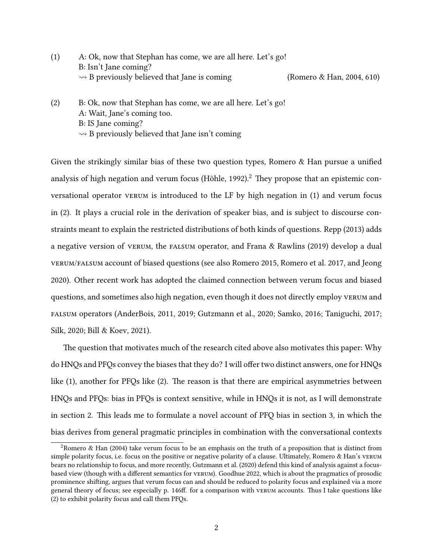- <span id="page-1-0"></span>(1) A: Ok, now that Stephan has come, we are all here. Let's go! B: Isn't Jane coming?  $\rightarrow$  B previously believed that Jane is coming [\(Romero & Han, 2004,](#page-45-0) 610)
- (2) B: Ok, now that Stephan has come, we are all here. Let's go! A: Wait, Jane's coming too. B: IS Jane coming?  $\rightarrow$  B previously believed that Jane isn't coming

Given the strikingly similar bias of these two question types, Romero  $\&$  Han pursue a unified analysis of high negation and verum focus (Höhle, 199[2](#page-1-1)).<sup>2</sup> They propose that an epistemic conversational operator verum is introduced to the LF by high negation in [\(1\)](#page-0-0) and verum focus in [\(2\).](#page-1-0) It plays a crucial role in the derivation of speaker bias, and is subject to discourse constraints meant to explain the restricted distributions of both kinds of questions. [Repp](#page-44-2) [\(2013\)](#page-44-2) adds a negative version of verum, the falsum operator, and [Frana & Rawlins](#page-42-0) [\(2019\)](#page-42-0) develop a dual verum/falsum account of biased questions (see also [Romero 2015,](#page-44-3) [Romero et al. 2017,](#page-44-4) and [Jeong](#page-43-0) [2020\)](#page-43-0). Other recent work has adopted the claimed connection between verum focus and biased questions, and sometimes also high negation, even though it does not directly employ verum and falsum operators [\(AnderBois, 2011,](#page-41-1) [2019;](#page-41-0) [Gutzmann et al., 2020;](#page-42-1) [Samko, 2016;](#page-45-1) [Taniguchi, 2017;](#page-45-2) [Silk, 2020;](#page-45-3) [Bill & Koev, 2021\)](#page-41-2).

The question that motivates much of the research cited above also motivates this paper: Why do HNQs and PFQs convey the biases that they do? I will offer two distinct answers, one for HNQs like  $(1)$ , another for PFQs like  $(2)$ . The reason is that there are empirical asymmetries between HNQs and PFQs: bias in PFQs is context sensitive, while in HNQs it is not, as I will demonstrate in [section 2.](#page-2-0) This leads me to formulate a novel account of PFQ bias in [section 3,](#page-5-0) in which the bias derives from general pragmatic principles in combination with the conversational contexts

<span id="page-1-1"></span><sup>&</sup>lt;sup>2</sup>[Romero & Han](#page-45-0) [\(2004\)](#page-45-0) take verum focus to be an emphasis on the truth of a proposition that is distinct from simple polarity focus, i.e. focus on the positive or negative polarity of a clause. Ultimately, [Romero & Han'](#page-45-0)s verum bears no relationship to focus, and more recently, [Gutzmann et al.](#page-42-1) [\(2020\)](#page-42-1) defend this kind of analysis against a focus-based view (though with a different semantics for vERUM). [Goodhue 2022,](#page-42-2) which is about the pragmatics of prosodic prominence shiing, argues that verum focus can and should be reduced to polarity focus and explained via a more general theory of focus; see especially p. 146ff. for a comparison with vERUM accounts. Thus I take questions like [\(2\)](#page-1-0) to exhibit polarity focus and call them PFQs.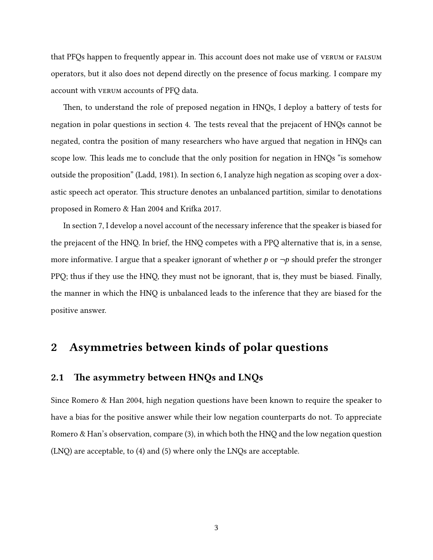that PFQs happen to frequently appear in. This account does not make use of vertum or falsum operators, but it also does not depend directly on the presence of focus marking. I compare my account with verum accounts of PFQ data.

Then, to understand the role of preposed negation in HNQs, I deploy a battery of tests for negation in polar questions in [section 4.](#page-14-0) The tests reveal that the prejacent of HNQs cannot be negated, contra the position of many researchers who have argued that negation in HNQs can scope low. This leads me to conclude that the only position for negation in HNQs "is somehow outside the proposition" [\(Ladd, 1981\)](#page-44-0). In [section 6,](#page-25-0) I analyze high negation as scoping over a doxastic speech act operator. This structure denotes an unbalanced partition, similar to denotations proposed in [Romero & Han 2004](#page-45-0) and Krifka 2017.

In [section 7,](#page-28-0) I develop a novel account of the necessary inference that the speaker is biased for the prejacent of the HNQ. In brief, the HNQ competes with a PPQ alternative that is, in a sense, more informative. I argue that a speaker ignorant of whether  $p$  or  $\neg p$  should prefer the stronger PPQ; thus if they use the HNQ, they must not be ignorant, that is, they must be biased. Finally, the manner in which the HNQ is unbalanced leads to the inference that they are biased for the positive answer.

## <span id="page-2-0"></span>2 Asymmetries between kinds of polar questions

#### <span id="page-2-1"></span>2.1 The asymmetry between  $HNQs$  and  $LNQs$

Since [Romero & Han 2004,](#page-45-0) high negation questions have been known to require the speaker to have a bias for the positive answer while their low negation counterparts do not. To appreciate [Romero & Han'](#page-45-0)s observation, compare [\(3\),](#page-3-0) in which both the HNQ and the low negation question (LNQ) are acceptable, to [\(4\)](#page-3-1) and [\(5\)](#page-3-2) where only the LNQs are acceptable.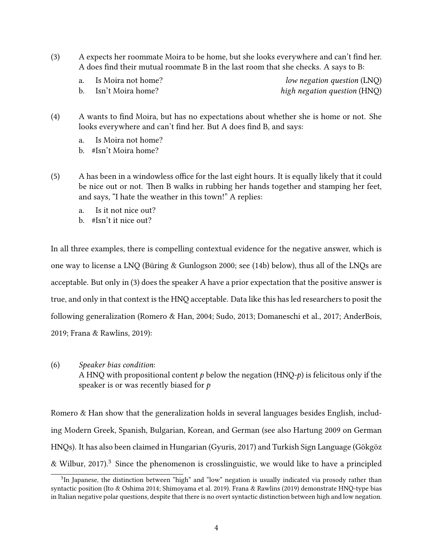- <span id="page-3-0"></span> $(3)$  A expects her roommate Moira to be home, but she looks everywhere and can't find her. A does find their mutual roommate B in the last room that she checks. A says to B:
	- a. Is Moira not home? low negation question (LNQ) b. Isn't Moira home? high negation question (HNQ)
	-
- <span id="page-3-1"></span>(4) A wants to find Moira, but has no expectations about whether she is home or not. She looks everywhere and can't find her. But A does find B, and says:
	- a. Is Moira not home?
	- b. #Isn't Moira home?
- <span id="page-3-2"></span>(5) A has been in a windowless office for the last eight hours. It is equally likely that it could be nice out or not. Then B walks in rubbing her hands together and stamping her feet, and says, "I hate the weather in this town!" A replies:
	- a. Is it not nice out?
	- b. #Isn't it nice out?

In all three examples, there is compelling contextual evidence for the negative answer, which is one way to license a LNQ (Büring & Gunlogson 2000; see [\(14b\)](#page-11-0) below), thus all of the LNQs are acceptable. But only in [\(3\)](#page-3-0) does the speaker A have a prior expectation that the positive answer is true, and only in that context is the HNQ acceptable. Data like this has led researchers to posit the following generalization [\(Romero & Han, 2004;](#page-45-0) [Sudo, 2013;](#page-45-4) [Domaneschi et al., 2017;](#page-41-4) [AnderBois,](#page-41-0) [2019;](#page-41-0) [Frana & Rawlins, 2019\)](#page-42-0):

<span id="page-3-4"></span>(6) Speaker bias condition:

A HNQ with propositional content  $p$  below the negation (HNQ- $p$ ) is felicitous only if the speaker is or was recently biased for  $p$ 

[Romero & Han](#page-45-0) show that the generalization holds in several languages besides English, including Modern Greek, Spanish, Bulgarian, Korean, and German (see also [Hartung 2009](#page-43-2) on German HNQs). It has also been claimed in Hungarian [\(Gyuris, 2017\)](#page-43-3) and Turkish Sign Language (Gökgöz [& Wilbur, 2017\)](#page-42-3).<sup>[3](#page-3-3)</sup> Since the phenomenon is crosslinguistic, we would like to have a principled

<span id="page-3-3"></span><sup>&</sup>lt;sup>3</sup>In Japanese, the distinction between "high" and "low" negation is usually indicated via prosody rather than syntactic position [\(Ito & Oshima 2014;](#page-43-4) [Shimoyama et al. 2019\)](#page-45-5). [Frana & Rawlins](#page-42-0) [\(2019\)](#page-42-0) demonstrate HNQ-type bias in Italian negative polar questions, despite that there is no overt syntactic distinction between high and low negation.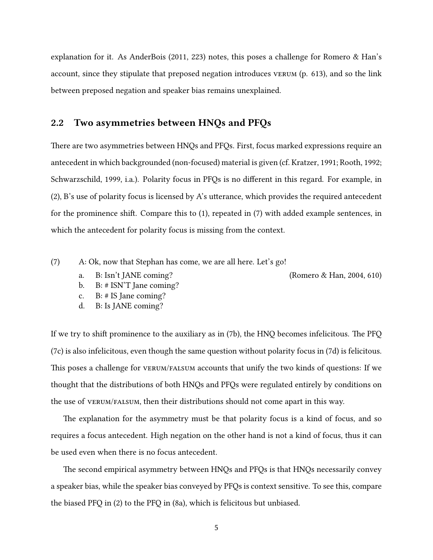explanation for it. As [AnderBois](#page-41-1) [\(2011,](#page-41-1) 223) notes, this poses a challenge for [Romero & Han'](#page-45-0)s account, since they stipulate that preposed negation introduces verum (p. 613), and so the link between preposed negation and speaker bias remains unexplained.

#### <span id="page-4-5"></span>2.2 Two asymmetries between HNQs and PFQs

There are two asymmetries between HNQs and PFQs. First, focus marked expressions require an antecedent in which backgrounded (non-focused) material is given (cf. [Kratzer, 1991;](#page-43-5) [Rooth, 1992;](#page-45-6) [Schwarzschild, 1999,](#page-45-7) i.a.). Polarity focus in PFQs is no different in this regard. For example, in  $(2)$ , B's use of polarity focus is licensed by A's utterance, which provides the required antecedent for the prominence shift. Compare this to  $(1)$ , repeated in  $(7)$  with added example sentences, in which the antecedent for polarity focus is missing from the context.

<span id="page-4-1"></span><span id="page-4-0"></span>(7) A: Ok, now that Stephan has come, we are all here. Let's go!

a. B: Isn't JANE coming? [\(Romero & Han, 2004,](#page-45-0) 610)

- b. B: # ISN'T Jane coming?
- <span id="page-4-2"></span>c. B: # IS Jane coming?
- <span id="page-4-3"></span>d. B: Is JANE coming?

If we try to shift prominence to the auxiliary as in  $(7b)$ , the HNQ becomes infelicitous. The PFQ [\(7c\)](#page-4-2) is also infelicitous, even though the same question without polarity focus in [\(7d\)](#page-4-3) is felicitous. This poses a challenge for vertum/falsum accounts that unify the two kinds of questions: If we thought that the distributions of both HNQs and PFQs were regulated entirely by conditions on the use of verum/falsum, then their distributions should not come apart in this way.

The explanation for the asymmetry must be that polarity focus is a kind of focus, and so requires a focus antecedent. High negation on the other hand is not a kind of focus, thus it can be used even when there is no focus antecedent.

<span id="page-4-4"></span>The second empirical asymmetry between HNQs and PFQs is that HNQs necessarily convey a speaker bias, while the speaker bias conveyed by PFQs is context sensitive. To see this, compare the biased PFQ in [\(2\)](#page-1-0) to the PFQ in [\(8a\),](#page-5-1) which is felicitous but unbiased.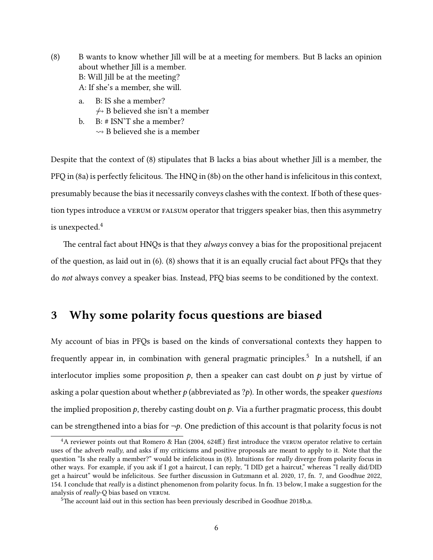- <span id="page-5-1"></span>(8) B wants to know whether Jill will be at a meeting for members. But B lacks an opinion about whether Iill is a member. B: Will Jill be at the meeting? A: If she's a member, she will.
	- a. B: IS she a member?  $\leftrightarrow$  B believed she isn't a member
	- b. B: # ISN'T she a member?  $\rightsquigarrow$  B believed she is a member

<span id="page-5-2"></span>Despite that the context of [\(8\)](#page-4-4) stipulates that B lacks a bias about whether Jill is a member, the PFQ in [\(8a\)](#page-5-1) is perfectly felicitous. The HNQ in [\(8b\)](#page-5-2) on the other hand is infelicitous in this context, presumably because the bias it necessarily conveys clashes with the context. If both of these question types introduce a verum or falsum operator that triggers speaker bias, then this asymmetry is unexpected.<sup>[4](#page-5-3)</sup>

The central fact about HNQs is that they *always* convey a bias for the propositional prejacent of the question, as laid out in [\(6\).](#page-3-4) [\(8\)](#page-4-4) shows that it is an equally crucial fact about PFQs that they do not always convey a speaker bias. Instead, PFQ bias seems to be conditioned by the context.

## <span id="page-5-0"></span>3 Why some polarity focus questions are biased

My account of bias in PFQs is based on the kinds of conversational contexts they happen to frequently appear in, in combination with general pragmatic principles.<sup>[5](#page-5-4)</sup> In a nutshell, if an interlocutor implies some proposition  $p$ , then a speaker can cast doubt on  $p$  just by virtue of asking a polar question about whether  $p$  (abbreviated as ?p). In other words, the speaker questions the implied proposition  $p$ , thereby casting doubt on  $p$ . Via a further pragmatic process, this doubt can be strengthened into a bias for  $\neg p$ . One prediction of this account is that polarity focus is not

<span id="page-5-3"></span> $4A$  reviewer points out that [Romero & Han](#page-45-0) [\(2004,](#page-45-0) 624ff.) first introduce the vERUM operator relative to certain uses of the adverb *really*, and asks if my criticisms and positive proposals are meant to apply to it. Note that the question "Is she really a member?" would be infelicitous in [\(8\).](#page-4-4) Intuitions for *really* diverge from polarity focus in other ways. For example, if you ask if I got a haircut, I can reply, "I DID get a haircut," whereas "I really did/DID get a haircut" would be infelicitous. See further discussion in [Gutzmann et al. 2020,](#page-42-1) 17, fn. 7, and [Goodhue 2022,](#page-42-2) 154. I conclude that really is a distinct phenomenon from polarity focus. In fn. [13](#page-12-0) below, I make a suggestion for the analysis of really-Q bias based on verum.

<span id="page-5-4"></span> $5$ The account laid out in this section has been previously described in [Goodhue 2018b](#page-42-4)[,a.](#page-42-5)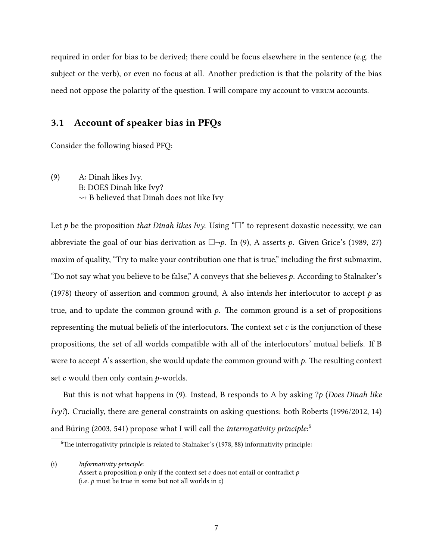required in order for bias to be derived; there could be focus elsewhere in the sentence (e.g. the subject or the verb), or even no focus at all. Another prediction is that the polarity of the bias need not oppose the polarity of the question. I will compare my account to verum accounts.

## <span id="page-6-3"></span>3.1 Account of speaker bias in PFQs

<span id="page-6-0"></span>Consider the following biased PFQ:

(9) A: Dinah likes Ivy. B: DOES Dinah like Ivy?  $\rightarrow$  B believed that Dinah does not like Ivy

Let p be the proposition that Dinah likes Ivy. Using " $\square$ " to represent doxastic necessity, we can abbreviate the goal of our bias derivation as  $\Box\neg p$ . In [\(9\),](#page-6-0) A asserts p. Given [Grice'](#page-42-6)s [\(1989,](#page-42-6) 27) maxim of quality, "Try to make your contribution one that is true," including the first submaxim, "Do not say what you believe to be false," A conveys that she believes  $p$ . According to [Stalnaker'](#page-45-8)s [\(1978\)](#page-45-8) theory of assertion and common ground, A also intends her interlocutor to accept  $p$  as true, and to update the common ground with  $p$ . The common ground is a set of propositions representing the mutual beliefs of the interlocutors. The context set  $c$  is the conjunction of these propositions, the set of all worlds compatible with all of the interlocutors' mutual beliefs. If B were to accept A's assertion, she would update the common ground with  $p$ . The resulting context set c would then only contain *p*-worlds.

But this is not what happens in [\(9\).](#page-6-0) Instead, B responds to A by asking  $p$  (Does Dinah like  $Iv\gamma$ ?). Crucially, there are general constraints on asking questions: both [Roberts](#page-44-5) [\(1996/2012,](#page-44-5) 14) and Büring [\(2003,](#page-41-5) 541) propose what I will call the *interrogativity principle*: $^6$  $^6$ 

(i) Informativity principle: Assert a proposition  $p$  only if the context set c does not entail or contradict  $p$ (i.e.  $p$  must be true in some but not all worlds in  $c$ )

<span id="page-6-2"></span><span id="page-6-1"></span> $6$ The interrogativity principle is related to [Stalnaker'](#page-45-8)s [\(1978,](#page-45-8) 88) informativity principle: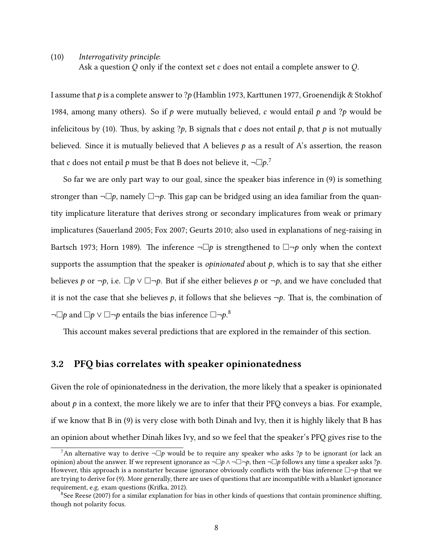(10) Interrogativity principle:

Ask a question Q only if the context set c does not entail a complete answer to  $Q$ .

I assume that  $p$  is a complete answer to ? $p$  [\(Hamblin 1973,](#page-43-6) Karttunen 1977, [Groenendijk & Stokhof](#page-42-7) [1984,](#page-42-7) among many others). So if p were mutually believed, c would entail p and ?p would be infelicitous by [\(10\).](#page-6-2) Thus, by asking ?p, B signals that c does not entail p, that p is not mutually believed. Since it is mutually believed that A believes  $p$  as a result of A's assertion, the reason that  $c$  does not entail  $p$  must be that B does not believe it,  $\neg \Box p$ .<sup>[7](#page-7-0)</sup>

So far we are only part way to our goal, since the speaker bias inference in [\(9\)](#page-6-0) is something stronger than  $\neg \Box p$ , namely  $\Box \neg p$ . This gap can be bridged using an idea familiar from the quantity implicature literature that derives strong or secondary implicatures from weak or primary implicatures [\(Sauerland 2005;](#page-45-9) [Fox 2007;](#page-41-6) [Geurts 2010;](#page-42-8) also used in explanations of neg-raising in [Bartsch 1973;](#page-41-7) [Horn 1989\)](#page-43-8). The inference  $\neg \Box p$  is strengthened to  $\Box \neg p$  only when the context supports the assumption that the speaker is *opinionated* about  $p$ , which is to say that she either believes p or  $\neg p$ , i.e.  $\Box p \lor \Box \neg p$ . But if she either believes p or  $\neg p$ , and we have concluded that it is not the case that she believes p, it follows that she believes  $\neg p$ . That is, the combination of ¬ $\Box p$  and  $\Box p \vee \Box \neg p$  entails the bias inference  $\Box \neg p$ .<sup>[8](#page-7-1)</sup>

This account makes several predictions that are explored in the remainder of this section.

#### <span id="page-7-2"></span>3.2 PFQ bias correlates with speaker opinionatedness

Given the role of opinionatedness in the derivation, the more likely that a speaker is opinionated about  $p$  in a context, the more likely we are to infer that their PFQ conveys a bias. For example, if we know that B in [\(9\)](#page-6-0) is very close with both Dinah and Ivy, then it is highly likely that B has an opinion about whether Dinah likes Ivy, and so we feel that the speaker's PFQ gives rise to the

<span id="page-7-0"></span><sup>&</sup>lt;sup>7</sup>An alternative way to derive  $\neg \Box p$  would be to require any speaker who asks ?p to be ignorant (or lack an opinion) about the answer. If we represent ignorance as  $\neg \Box p \land \neg \Box \neg p$ , then  $\neg \Box p$  follows any time a speaker asks ?p. However, this approach is a nonstarter because ignorance obviously conflicts with the bias inference  $\Box \neg p$  that we are trying to derive for [\(9\).](#page-6-0) More generally, there are uses of questions that are incompatible with a blanket ignorance requirement, e.g. exam questions (Krifka, 2012).

<span id="page-7-1"></span> $8$ See [Reese](#page-44-6) [\(2007\)](#page-44-6) for a similar explanation for bias in other kinds of questions that contain prominence shifting, though not polarity focus.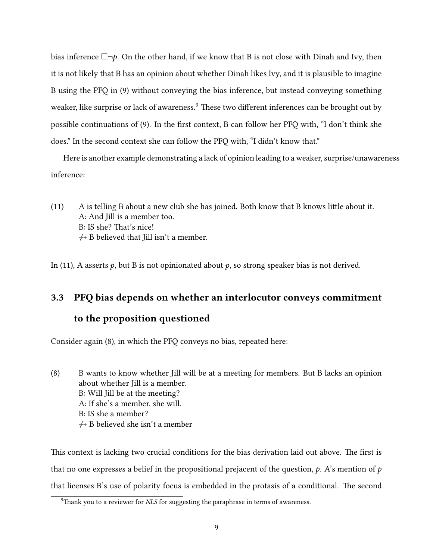bias inference  $\Box\neg p$ . On the other hand, if we know that B is not close with Dinah and Ivy, then it is not likely that B has an opinion about whether Dinah likes Ivy, and it is plausible to imagine B using the PFQ in [\(9\)](#page-6-0) without conveying the bias inference, but instead conveying something weaker, like surprise or lack of awareness.<sup>[9](#page-8-0)</sup> These two different inferences can be brought out by possible continuations of [\(9\).](#page-6-0) In the first context, B can follow her PFQ with, "I don't think she does." In the second context she can follow the PFQ with, "I didn't know that."

<span id="page-8-1"></span>Here is another example demonstrating a lack of opinion leading to a weaker, surprise/unawareness inference:

 $(11)$  A is telling B about a new club she has joined. Both know that B knows little about it. A: And Jill is a member too. B: IS she? That's nice!  $\leftrightarrow$  B believed that Jill isn't a member.

In [\(11\),](#page-8-1) A asserts  $p$ , but B is not opinionated about  $p$ , so strong speaker bias is not derived.

## 3.3 PFQ bias depends on whether an interlocutor conveys commitment

#### to the proposition questioned

Consider again [\(8\),](#page-4-4) in which the PFQ conveys no bias, repeated here:

[\(8\)](#page-4-4) B wants to know whether Jill will be at a meeting for members. But B lacks an opinion about whether Jill is a member. B: Will Jill be at the meeting? A: If she's a member, she will. B: IS she a member?  $\leftrightarrow$  B believed she isn't a member

This context is lacking two crucial conditions for the bias derivation laid out above. The first is that no one expresses a belief in the propositional prejacent of the question,  $p$ . A's mention of  $p$ that licenses B's use of polarity focus is embedded in the protasis of a conditional. The second

<span id="page-8-0"></span> $9$ Thank you to a reviewer for *NLS* for suggesting the paraphrase in terms of awareness.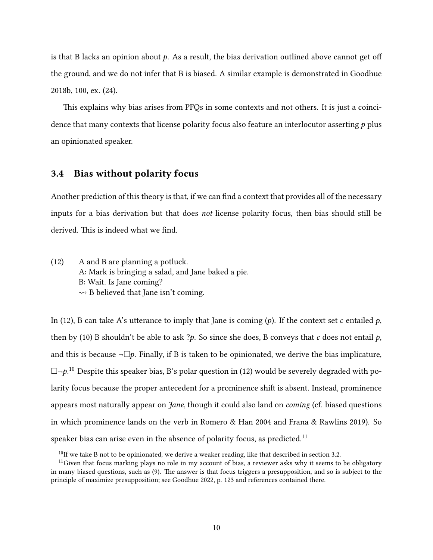is that B lacks an opinion about  $p$ . As a result, the bias derivation outlined above cannot get off the ground, and we do not infer that B is biased. A similar example is demonstrated in [Goodhue](#page-42-4) [2018b,](#page-42-4) 100, ex. (24).

This explains why bias arises from PFQs in some contexts and not others. It is just a coincidence that many contexts that license polarity focus also feature an interlocutor asserting  $p$  plus an opinionated speaker.

#### 3.4 Bias without polarity focus

Another prediction of this theory is that, if we can find a context that provides all of the necessary inputs for a bias derivation but that does not license polarity focus, then bias should still be derived. This is indeed what we find.

<span id="page-9-0"></span>(12) A and B are planning a potluck. A: Mark is bringing a salad, and Jane baked a pie. B: Wait. Is Jane coming?  $\rightarrow$  B believed that Jane isn't coming.

In [\(12\),](#page-9-0) B can take A's utterance to imply that Jane is coming  $(p)$ . If the context set c entailed p, then by [\(10\)](#page-6-2) B shouldn't be able to ask ?p. So since she does, B conveys that c does not entail p, and this is because  $\neg \Box p$ . Finally, if B is taken to be opinionated, we derive the bias implicature,  $\Box\neg p^{10}$  $\Box\neg p^{10}$  $\Box\neg p^{10}$  Despite this speaker bias, B's polar question in [\(12\)](#page-9-0) would be severely degraded with polarity focus because the proper antecedent for a prominence shift is absent. Instead, prominence appears most naturally appear on *Jane*, though it could also land on *coming* (cf. biased questions in which prominence lands on the verb in [Romero & Han 2004](#page-45-0) and [Frana & Rawlins 2019\)](#page-42-0). So speaker bias can arise even in the absence of polarity focus, as predicted.<sup>[11](#page-9-2)</sup>

<span id="page-9-2"></span><span id="page-9-1"></span> $10$ If we take B not to be opinionated, we derive a weaker reading, like that described in [section 3.2.](#page-7-2)

 $11$  Given that focus marking plays no role in my account of bias, a reviewer asks why it seems to be obligatory in many biased questions, such as [\(9\).](#page-6-0) The answer is that focus triggers a presupposition, and so is subject to the principle of maximize presupposition; see [Goodhue 2022,](#page-42-2) p. 123 and references contained there.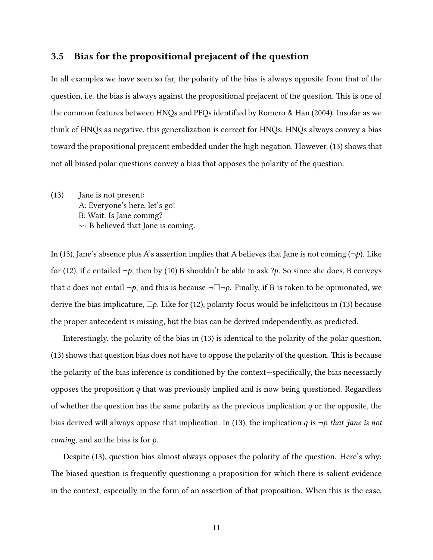#### 3.5 Bias for the propositional prejacent of the question

In all examples we have seen so far, the polarity of the bias is always opposite from that of the question, i.e. the bias is always against the propositional prejacent of the question. This is one of the common features between HNQs and PFQs identified by [Romero & Han](#page-45-0) [\(2004\)](#page-45-0). Insofar as we think of HNQs as negative, this generalization is correct for HNQs: HNQs always convey a bias toward the propositional prejacent embedded under the high negation. However, [\(13\)](#page-10-0) shows that not all biased polar questions convey a bias that opposes the polarity of the question.

<span id="page-10-0"></span>(13) Jane is not present: A: Everyone's here, let's go! B: Wait. Is Jane coming?  $\rightarrow$  B believed that Jane is coming.

In [\(13\),](#page-10-0) Jane's absence plus A's assertion implies that A believes that Jane is not coming  $(\neg p)$ . Like for [\(12\),](#page-9-0) if c entailed  $\neg p$ , then by [\(10\)](#page-6-2) B shouldn't be able to ask ?p. So since she does, B conveys that c does not entail  $\neg p$ , and this is because  $\neg \Box \neg p$ . Finally, if B is taken to be opinionated, we derive the bias implicature,  $\Box p$ . Like for [\(12\),](#page-9-0) polarity focus would be infelicitous in [\(13\)](#page-10-0) because the proper antecedent is missing, but the bias can be derived independently, as predicted.

Interestingly, the polarity of the bias in [\(13\)](#page-10-0) is identical to the polarity of the polar question.  $(13)$  shows that question bias does not have to oppose the polarity of the question. This is because the polarity of the bias inference is conditioned by the context—specifically, the bias necessarily opposes the proposition  $q$  that was previously implied and is now being questioned. Regardless of whether the question has the same polarity as the previous implication  $q$  or the opposite, the bias derived will always oppose that implication. In [\(13\),](#page-10-0) the implication q is  $\neg p$  that Jane is not *coming*, and so the bias is for  $p$ .

Despite [\(13\),](#page-10-0) question bias almost always opposes the polarity of the question. Here's why: The biased question is frequently questioning a proposition for which there is salient evidence in the context, especially in the form of an assertion of that proposition. When this is the case,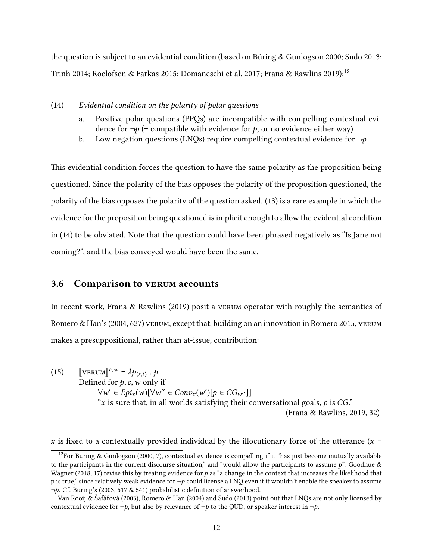the question is subject to an evidential condition (based on Büring & Gunlogson 2000; [Sudo 2013;](#page-45-4) [Trinh 2014;](#page-45-10) [Roelofsen & Farkas 2015;](#page-44-7) [Domaneschi et al. 2017;](#page-41-4) [Frana & Rawlins 2019\)](#page-42-0):<sup>[12](#page-11-1)</sup>

- <span id="page-11-2"></span>(14) Evidential condition on the polarity of polar questions
	- a. Positive polar questions (PPQs) are incompatible with compelling contextual evidence for  $\neg p$  (= compatible with evidence for p, or no evidence either way)
	- b. Low negation questions (LNQs) require compelling contextual evidence for  $\neg p$

<span id="page-11-0"></span>This evidential condition forces the question to have the same polarity as the proposition being questioned. Since the polarity of the bias opposes the polarity of the proposition questioned, the polarity of the bias opposes the polarity of the question asked. [\(13\)](#page-10-0) is a rare example in which the evidence for the proposition being questioned is implicit enough to allow the evidential condition in [\(14\)](#page-11-2) to be obviated. Note that the question could have been phrased negatively as "Is Jane not coming?", and the bias conveyed would have been the same.

#### 3.6 Comparison to verum accounts

In recent work, [Frana & Rawlins](#page-42-0) [\(2019\)](#page-42-0) posit a verum operator with roughly the semantics of [Romero & Han'](#page-45-0)s [\(2004,](#page-45-0) 627) vertum, except that, building on an innovation in [Romero 2015,](#page-44-3) vertum makes a presuppositional, rather than at-issue, contribution:

<span id="page-11-3"></span>(15)  $\left[\text{VERUM}\right]^{c,w} = \lambda p_{\langle s,t \rangle}$ <br>Defined for  $c, w \geq 0$ Defined for p, c, w only if  $\forall w' \in Epi_x(w)[\forall w'' \in Conv_x(w')[p \in CG_{w''}]]$ <br>"x is sure that in all worlds satisfying their quality "x is sure that, in all worlds satisfying their conversational goals,  $p$  is  $CG$ ." [\(Frana & Rawlins, 2019,](#page-42-0) 32)

x is fixed to a contextually provided individual by the illocutionary force of the utterance ( $x =$ 

<span id="page-11-1"></span><sup>&</sup>lt;sup>12</sup>For Büring & Gunlogson [\(2000,](#page-41-3) 7), contextual evidence is compelling if it "has just become mutually available to the participants in the current discourse situation," and "would allow the participants to assume  $p$ ". Goodhue  $\&$ [Wagner](#page-42-9) [\(2018,](#page-42-9) 17) revise this by treating evidence for  $p$  as "a change in the context that increases the likelihood that p is true," since relatively weak evidence for  $\neg p$  could license a LNQ even if it wouldn't enable the speaker to assume  $\neg p$ . Cf. Büring's [\(2003,](#page-41-5) 517 & 541) probabilistic definition of answerhood.

[Van Rooij &](#page-46-0) Šafářová [\(2003\)](#page-46-0), [Romero & Han](#page-45-0) [\(2004\)](#page-45-0) and [Sudo](#page-45-4) [\(2013\)](#page-45-4) point out that LNOs are not only licensed by contextual evidence for  $\neg p$ , but also by relevance of  $\neg p$  to the QUD, or speaker interest in  $\neg p$ .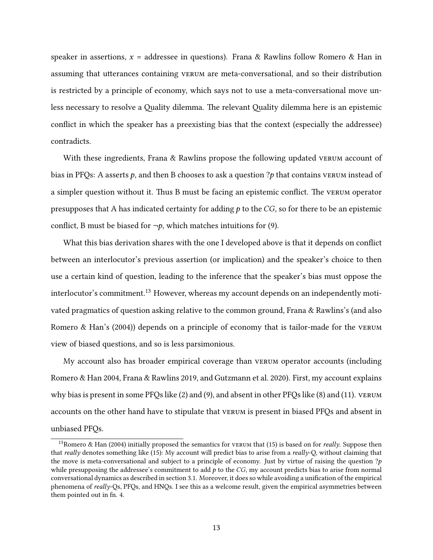speaker in assertions,  $x =$  addressee in questions). [Frana & Rawlins](#page-42-0) follow [Romero & Han](#page-45-0) in assuming that utterances containing vertum are meta-conversational, and so their distribution is restricted by a principle of economy, which says not to use a meta-conversational move unless necessary to resolve a Quality dilemma. The relevant Quality dilemma here is an epistemic conflict in which the speaker has a preexisting bias that the context (especially the addressee) contradicts.

With these ingredients, [Frana & Rawlins](#page-42-0) propose the following updated verum account of bias in PFQs: A asserts  $p$ , and then B chooses to ask a question ?p that contains vertum instead of a simpler question without it. Thus B must be facing an epistemic conflict. The vertum operator presupposes that A has indicated certainty for adding  $p$  to the CG, so for there to be an epistemic conflict, B must be biased for  $\neg p$ , which matches intuitions for [\(9\).](#page-6-0)

What this bias derivation shares with the one I developed above is that it depends on conflict between an interlocutor's previous assertion (or implication) and the speaker's choice to then use a certain kind of question, leading to the inference that the speaker's bias must oppose the interlocutor's commitment.<sup>[13](#page-12-0)</sup> However, whereas my account depends on an independently motivated pragmatics of question asking relative to the common ground, [Frana & Rawlins'](#page-42-0)s (and also [Romero & Han'](#page-45-0)s [\(2004\)](#page-45-0)) depends on a principle of economy that is tailor-made for the verum view of biased questions, and so is less parsimonious.

My account also has broader empirical coverage than verum operator accounts (including [Romero & Han 2004,](#page-45-0) [Frana & Rawlins 2019,](#page-42-0) and [Gutzmann et al. 2020\)](#page-42-1). First, my account explains why bias is present in some PFQs like [\(2\)](#page-1-0) and [\(9\),](#page-6-0) and absent in other PFQs like [\(8\)](#page-4-4) and [\(11\).](#page-8-1) verum accounts on the other hand have to stipulate that verum is present in biased PFQs and absent in unbiased PFQs.

<span id="page-12-0"></span><sup>&</sup>lt;sup>13</sup>[Romero & Han](#page-45-0) [\(2004\)](#page-45-0) initially proposed the semantics for verum that [\(15\)](#page-11-3) is based on for *really*. Suppose then that really denotes something like [\(15\):](#page-11-3) My account will predict bias to arise from a really-Q, without claiming that the move is meta-conversational and subject to a principle of economy. Just by virtue of raising the question  $?p$ while presupposing the addressee's commitment to add  $p$  to the  $CG$ , my account predicts bias to arise from normal conversational dynamics as described in [section 3.1.](#page-6-3) Moreover, it does so while avoiding a unication of the empirical phenomena of really-Qs, PFQs, and HNQs. I see this as a welcome result, given the empirical asymmetries between them pointed out in fn. [4.](#page-5-3)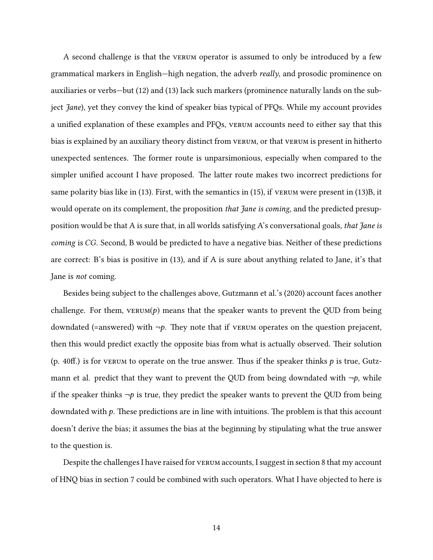A second challenge is that the verum operator is assumed to only be introduced by a few grammatical markers in English—high negation, the adverb really, and prosodic prominence on auxiliaries or verbs—but [\(12\)](#page-9-0) and [\(13\)](#page-10-0) lack such markers (prominence naturally lands on the subject *Jane*), yet they convey the kind of speaker bias typical of PFQs. While my account provides a unified explanation of these examples and PFQs, VERUM accounts need to either say that this bias is explained by an auxiliary theory distinct from verum, or that verum is present in hitherto unexpected sentences. The former route is unparsimonious, especially when compared to the simpler unified account I have proposed. The latter route makes two incorrect predictions for same polarity bias like in [\(13\).](#page-10-0) First, with the semantics in [\(15\),](#page-11-3) if verum were present in [\(13\)B](#page-10-0), it would operate on its complement, the proposition *that Jane is coming*, and the predicted presupposition would be that A is sure that, in all worlds satisfying A's conversational goals, that Jane is coming is CG. Second, B would be predicted to have a negative bias. Neither of these predictions are correct: B's bias is positive in [\(13\),](#page-10-0) and if A is sure about anything related to Jane, it's that Jane is not coming.

Besides being subject to the challenges above, [Gutzmann et al.'](#page-42-1)s [\(2020\)](#page-42-1) account faces another challenge. For them,  $v_{\text{ERUM}}(p)$  means that the speaker wants to prevent the QUD from being downdated (=answered) with  $\neg p$ . They note that if verum operates on the question prejacent, then this would predict exactly the opposite bias from what is actually observed. Their solution (p. 40ff.) is for verum to operate on the true answer. Thus if the speaker thinks  $p$  is true, [Gutz](#page-42-1)[mann et al.](#page-42-1) predict that they want to prevent the QUD from being downdated with  $\neg p$ , while if the speaker thinks  $\neg p$  is true, they predict the speaker wants to prevent the QUD from being downdated with  $p$ . These predictions are in line with intuitions. The problem is that this account doesn't derive the bias; it assumes the bias at the beginning by stipulating what the true answer to the question is.

Despite the challenges I have raised for verum accounts, I suggest in [section 8](#page-37-0) that my account of HNQ bias in [section 7](#page-28-0) could be combined with such operators. What I have objected to here is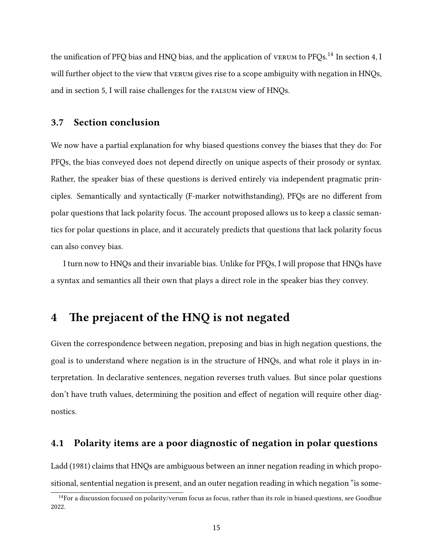the unification of PFQ bias and HNQ bias, and the application of vertum to PFQs.<sup>[14](#page-14-1)</sup> In [section 4,](#page-14-0) I will further object to the view that verrum gives rise to a scope ambiguity with negation in HNQs, and in [section 5,](#page-23-0) I will raise challenges for the falsum view of HNQs.

#### 3.7 Section conclusion

We now have a partial explanation for why biased questions convey the biases that they do: For PFQs, the bias conveyed does not depend directly on unique aspects of their prosody or syntax. Rather, the speaker bias of these questions is derived entirely via independent pragmatic principles. Semantically and syntactically (F-marker notwithstanding), PFQs are no different from polar questions that lack polarity focus. The account proposed allows us to keep a classic semantics for polar questions in place, and it accurately predicts that questions that lack polarity focus can also convey bias.

I turn now to HNQs and their invariable bias. Unlike for PFQs, I will propose that HNQs have a syntax and semantics all their own that plays a direct role in the speaker bias they convey.

## <span id="page-14-0"></span>4 The prejacent of the HNQ is not negated

Given the correspondence between negation, preposing and bias in high negation questions, the goal is to understand where negation is in the structure of HNQs, and what role it plays in interpretation. In declarative sentences, negation reverses truth values. But since polar questions don't have truth values, determining the position and effect of negation will require other diagnostics.

#### 4.1 Polarity items are a poor diagnostic of negation in polar questions

[Ladd](#page-44-0) [\(1981\)](#page-44-0) claims that HNQs are ambiguous between an inner negation reading in which propositional, sentential negation is present, and an outer negation reading in which negation "is some-

<span id="page-14-1"></span><sup>&</sup>lt;sup>14</sup>For a discussion focused on polarity/verum focus as focus, rather than its role in biased questions, see [Goodhue](#page-42-2) [2022.](#page-42-2)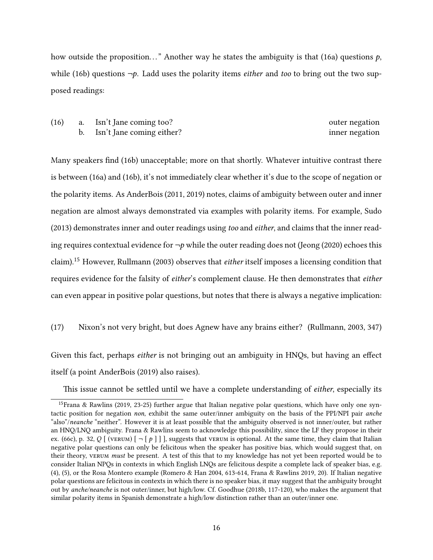how outside the proposition..." Another way he states the ambiguity is that [\(16a\)](#page-15-0) questions  $p$ , while [\(16b\)](#page-15-1) questions  $\neg p$ . Ladd uses the polarity items *either* and *too* to bring out the two supposed readings:

<span id="page-15-1"></span><span id="page-15-0"></span>(16) a. Isn't Jane coming too? outer negation b. Isn't Jane coming either? inner negation

Many speakers find [\(16b\)](#page-15-1) unacceptable; more on that shortly. Whatever intuitive contrast there is between [\(16a\)](#page-15-0) and [\(16b\),](#page-15-1) it's not immediately clear whether it's due to the scope of negation or the polarity items. As [AnderBois](#page-41-1) [\(2011,](#page-41-1) [2019\)](#page-41-0) notes, claims of ambiguity between outer and inner negation are almost always demonstrated via examples with polarity items. For example, [Sudo](#page-45-4) [\(2013\)](#page-45-4) demonstrates inner and outer readings using too and either, and claims that the inner reading requires contextual evidence for  $\neg p$  while the outer reading does not [\(Jeong](#page-43-0) [\(2020\)](#page-43-0) echoes this claim).[15](#page-15-2) However, [Rullmann](#page-45-11) [\(2003\)](#page-45-11) observes that either itself imposes a licensing condition that requires evidence for the falsity of either's complement clause. He then demonstrates that either can even appear in positive polar questions, but notes that there is always a negative implication:

#### (17) Nixon's not very bright, but does Agnew have any brains either? [\(Rullmann, 2003,](#page-45-11) 347)

Given this fact, perhaps either is not bringing out an ambiguity in HNQs, but having an effect itself (a point [AnderBois](#page-41-0) [\(2019\)](#page-41-0) also raises).

<span id="page-15-2"></span>This issue cannot be settled until we have a complete understanding of *either*, especially its

<sup>&</sup>lt;sup>15</sup>[Frana & Rawlins](#page-42-0) [\(2019,](#page-42-0) 23-25) further argue that Italian negative polar questions, which have only one syntactic position for negation non, exhibit the same outer/inner ambiguity on the basis of the PPI/NPI pair anche "also"/neanche "neither". However it is at least possible that the ambiguity observed is not inner/outer, but rather an HNQ/LNQ ambiguity. Frana & Rawlins seem to acknowledge this possibility, since the LF they propose in their ex. (66c), p. 32, Q [ (VERUM)  $\lceil - \lfloor p \rfloor \rceil$  ], suggests that VERUM is optional. At the same time, they claim that Italian negative polar questions can only be felicitous when the speaker has positive bias, which would suggest that, on their theory, verum must be present. A test of this that to my knowledge has not yet been reported would be to consider Italian NPQs in contexts in which English LNQs are felicitous despite a complete lack of speaker bias, e.g. [\(4\),](#page-3-1) [\(5\),](#page-3-2) or the Rosa Montero example [\(Romero & Han 2004,](#page-45-0) 613-614, [Frana & Rawlins 2019,](#page-42-0) 20). If Italian negative polar questions are felicitous in contexts in which there is no speaker bias, it may suggest that the ambiguity brought out by anche/neanche is not outer/inner, but high/low. Cf. [Goodhue](#page-42-4) [\(2018b,](#page-42-4) 117-120), who makes the argument that similar polarity items in Spanish demonstrate a high/low distinction rather than an outer/inner one.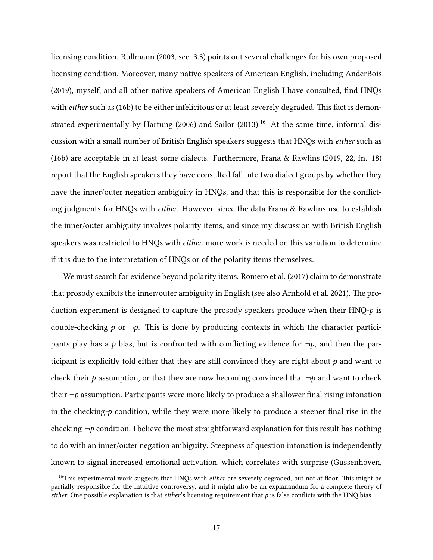licensing condition. [Rullmann](#page-45-11) [\(2003,](#page-45-11) sec. 3.3) points out several challenges for his own proposed licensing condition. Moreover, many native speakers of American English, including [AnderBois](#page-41-0)  $(2019)$ , myself, and all other native speakers of American English I have consulted, find HNQs with either such as [\(16b\)](#page-15-1) to be either infelicitous or at least severely degraded. This fact is demon-strated experimentally by [Hartung](#page-43-10) [\(2006\)](#page-43-10) and [Sailor](#page-45-12) [\(2013\)](#page-45-12).<sup>[16](#page-16-0)</sup> At the same time, informal discussion with a small number of British English speakers suggests that HNQs with either such as [\(16b\)](#page-15-1) are acceptable in at least some dialects. Furthermore, [Frana & Rawlins](#page-42-0) [\(2019,](#page-42-0) 22, fn. 18) report that the English speakers they have consulted fall into two dialect groups by whether they have the inner/outer negation ambiguity in HNQs, and that this is responsible for the conflicting judgments for HNQs with *either*. However, since the data Frana  $\&$  Rawlins use to establish the inner/outer ambiguity involves polarity items, and since my discussion with British English speakers was restricted to HNQs with *either*, more work is needed on this variation to determine if it is due to the interpretation of HNQs or of the polarity items themselves.

We must search for evidence beyond polarity items. [Romero et al.](#page-44-4) [\(2017\)](#page-44-4) claim to demonstrate that prosody exhibits the inner/outer ambiguity in English (see also [Arnhold et al. 2021\)](#page-41-8). The production experiment is designed to capture the prosody speakers produce when their  $HNQ-p$  is double-checking p or  $\neg p$ . This is done by producing contexts in which the character participants play has a p bias, but is confronted with conflicting evidence for  $\neg p$ , and then the participant is explicitly told either that they are still convinced they are right about  $p$  and want to check their  $p$  assumption, or that they are now becoming convinced that  $\neg p$  and want to check their  $\neg p$  assumption. Participants were more likely to produce a shallower final rising intonation in the checking- $p$  condition, while they were more likely to produce a steeper final rise in the checking- $\neg p$  condition. I believe the most straightforward explanation for this result has nothing to do with an inner/outer negation ambiguity: Steepness of question intonation is independently known to signal increased emotional activation, which correlates with surprise [\(Gussenhoven,](#page-42-10)

<span id="page-16-0"></span> $16$ This experimental work suggests that HNQs with *either* are severely degraded, but not at floor. This might be partially responsible for the intuitive controversy, and it might also be an explanandum for a complete theory of either. One possible explanation is that either's licensing requirement that  $p$  is false conflicts with the HNQ bias.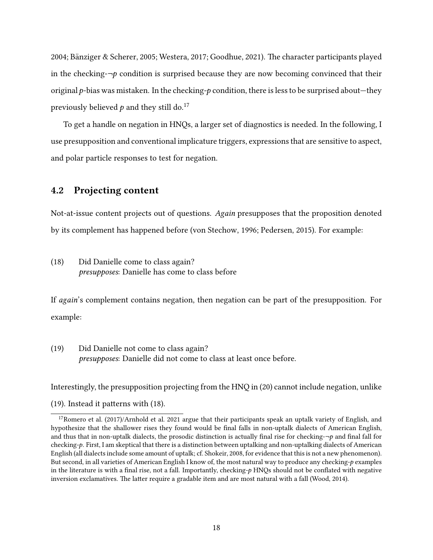[2004;](#page-42-10) Bänziger & Scherer, 2005; [Westera, 2017;](#page-46-1) [Goodhue, 2021\)](#page-42-11). The character participants played in the checking- $\neg p$  condition is surprised because they are now becoming convinced that their original  $p$ -bias was mistaken. In the checking- $p$  condition, there is less to be surprised about—they previously believed  $p$  and they still do.<sup>[17](#page-17-0)</sup>

To get a handle on negation in HNQs, a larger set of diagnostics is needed. In the following, I use presupposition and conventional implicature triggers, expressions that are sensitive to aspect, and polar particle responses to test for negation.

## 4.2 Projecting content

Not-at-issue content projects out of questions. Again presupposes that the proposition denoted by its complement has happened before [\(von Stechow, 1996;](#page-45-13) [Pedersen, 2015\)](#page-44-8). For example:

<span id="page-17-3"></span>(18) Did Danielle come to class again? presupposes: Danielle has come to class before

If again's complement contains negation, then negation can be part of the presupposition. For example:

<span id="page-17-2"></span>(19) Did Danielle not come to class again? presupposes: Danielle did not come to class at least once before.

Interestingly, the presupposition projecting from the HNQ in [\(20\)](#page-17-1) cannot include negation, unlike

 $(19)$ . Instead it patterns with  $(18)$ .

<span id="page-17-1"></span><span id="page-17-0"></span> $17$ [Romero et al.](#page-44-4) [\(2017\)](#page-44-4)[/Arnhold et al. 2021](#page-41-8) argue that their participants speak an uptalk variety of English, and hypothesize that the shallower rises they found would be final falls in non-uptalk dialects of American English, and thus that in non-uptalk dialects, the prosodic distinction is actually final rise for checking- $\neg p$  and final fall for checking-p. First, I am skeptical that there is a distinction between uptalking and non-uptalking dialects of American English (all dialects include some amount of uptalk; cf. [Shokeir, 2008,](#page-45-14) for evidence that this is not a new phenomenon). But second, in all varieties of American English I know of, the most natural way to produce any checking-p examples in the literature is with a final rise, not a fall. Importantly, checking- $p$  HNQs should not be conflated with negative inversion exclamatives. The latter require a gradable item and are most natural with a fall [\(Wood, 2014\)](#page-46-2).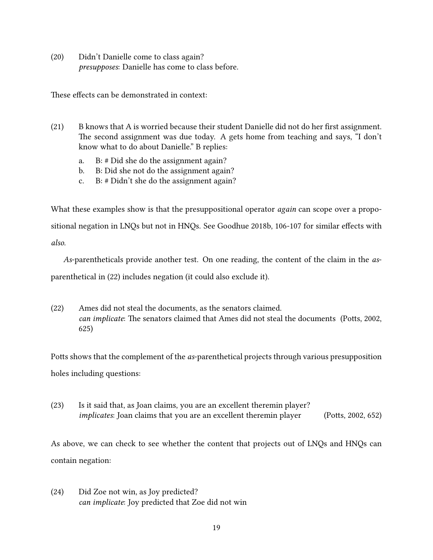(20) Didn't Danielle come to class again? presupposes: Danielle has come to class before.

These effects can be demonstrated in context:

- $(21)$  B knows that A is worried because their student Danielle did not do her first assignment. The second assignment was due today. A gets home from teaching and says, "I don't know what to do about Danielle." B replies:
	- a. B: # Did she do the assignment again?
	- b. B: Did she not do the assignment again?
	- c. B: # Didn't she do the assignment again?

What these examples show is that the presuppositional operator *again* can scope over a propo-sitional negation in LNQs but not in HNQs. See [Goodhue 2018b,](#page-42-4) 106-107 for similar effects with also.

As-parentheticals provide another test. On one reading, the content of the claim in the asparenthetical in [\(22\)](#page-18-0) includes negation (it could also exclude it).

<span id="page-18-0"></span>(22) Ames did not steal the documents, as the senators claimed. can implicate: The senators claimed that Ames did not steal the documents (Potts, 2002, 625)

Potts shows that the complement of the *as*-parenthetical projects through various presupposition holes including questions:

(23) Is it said that, as Joan claims, you are an excellent theremin player? implicates: Joan claims that you are an excellent theremin player (Potts, 2002, 652)

As above, we can check to see whether the content that projects out of LNQs and HNQs can contain negation:

(24) Did Zoe not win, as Joy predicted? can implicate: Joy predicted that Zoe did not win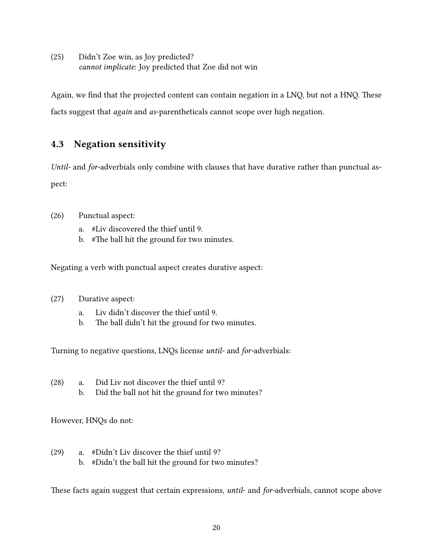(25) Didn't Zoe win, as Joy predicted? cannot implicate: Joy predicted that Zoe did not win

Again, we find that the projected content can contain negation in a LNQ, but not a HNQ. These facts suggest that again and as-parentheticals cannot scope over high negation.

## 4.3 Negation sensitivity

Until- and for-adverbials only combine with clauses that have durative rather than punctual aspect:

- (26) Punctual aspect:
	- a. #Liv discovered the thief until 9.
	- b.  $\#$ The ball hit the ground for two minutes.

Negating a verb with punctual aspect creates durative aspect:

- (27) Durative aspect:
	- a. Liv didn't discover the thief until 9.
	- b. The ball didn't hit the ground for two minutes.

Turning to negative questions, LNQs license until- and for-adverbials:

- (28) a. Did Liv not discover the thief until 9?
	- b. Did the ball not hit the ground for two minutes?

However, HNQs do not:

- (29) a. #Didn't Liv discover the thief until 9?
	- b. #Didn't the ball hit the ground for two minutes?

These facts again suggest that certain expressions, until- and for-adverbials, cannot scope above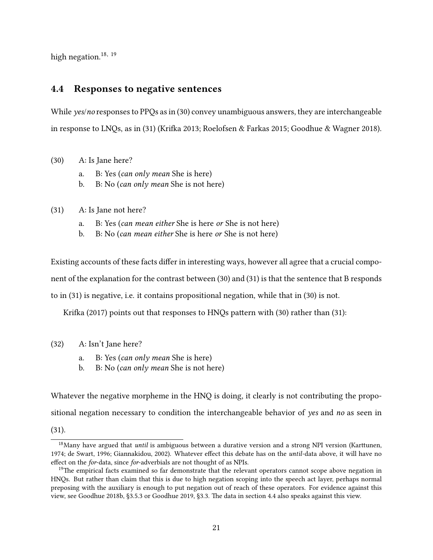high negation.<sup>[18,](#page-20-0) [19](#page-20-1)</sup>

## <span id="page-20-4"></span>4.4 Responses to negative sentences

While *yes/no* responses to PPQs as in [\(30\)](#page-20-2) convey unambiguous answers, they are interchangeable in response to LNQs, as in  $(31)$  (Krifka 2013; [Roelofsen & Farkas 2015;](#page-44-7) [Goodhue & Wagner 2018\)](#page-42-9).

- <span id="page-20-2"></span>(30) A: Is Jane here?
	- a. B: Yes (can only mean She is here)
	- b. B: No (can only mean She is not here)
- <span id="page-20-3"></span>(31) A: Is Jane not here?
	- a. B: Yes (can mean either She is here or She is not here)
	- b. B: No (can mean either She is here or She is not here)

Existing accounts of these facts differ in interesting ways, however all agree that a crucial component of the explanation for the contrast between [\(30\)](#page-20-2) and [\(31\)](#page-20-3) is that the sentence that B responds to in [\(31\)](#page-20-3) is negative, i.e. it contains propositional negation, while that in [\(30\)](#page-20-2) is not.

Krifka [\(2017\)](#page-44-1) points out that responses to HNQs pattern with [\(30\)](#page-20-2) rather than [\(31\):](#page-20-3)

- (32) A: Isn't Jane here?
	- a. B: Yes (can only mean She is here)
	- b. B: No (can only mean She is not here)

Whatever the negative morpheme in the HNQ is doing, it clearly is not contributing the propositional negation necessary to condition the interchangeable behavior of yes and no as seen in [\(31\).](#page-20-3)

<span id="page-20-0"></span> $18$ Many have argued that *until* is ambiguous between a durative version and a strong NPI version (Karttunen, [1974;](#page-43-12) [de Swart, 1996;](#page-45-15) [Giannakidou, 2002\)](#page-42-12). Whatever effect this debate has on the *until*-data above, it will have no effect on the for-data, since for-adverbials are not thought of as NPIs.

<span id="page-20-1"></span> $19$ The empirical facts examined so far demonstrate that the relevant operators cannot scope above negation in HNQs. But rather than claim that this is due to high negation scoping into the speech act layer, perhaps normal preposing with the auxiliary is enough to put negation out of reach of these operators. For evidence against this view, see [Goodhue 2018b,](#page-42-4) §3.5.3 or [Goodhue 2019,](#page-42-13) §3.3. The data in [section 4.4](#page-20-4) also speaks against this view.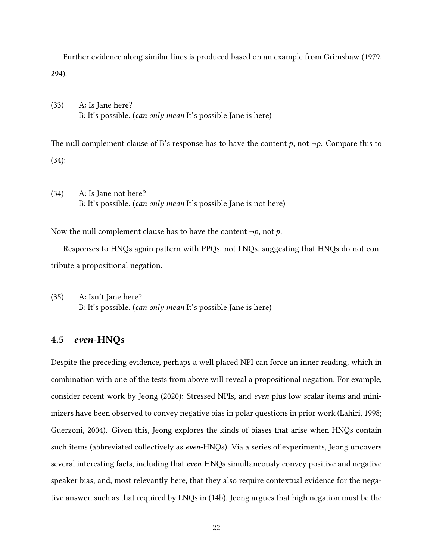Further evidence along similar lines is produced based on an example from [Grimshaw](#page-42-14) [\(1979,](#page-42-14) 294).

(33) A: Is Jane here? B: It's possible. (can only mean It's possible Jane is here)

The null complement clause of B's response has to have the content p, not  $\neg p$ . Compare this to (34):

(34) A: Is Jane not here? B: It's possible. (can only mean It's possible Jane is not here)

Now the null complement clause has to have the content  $\neg p$ , not p.

Responses to HNQs again pattern with PPQs, not LNQs, suggesting that HNQs do not contribute a propositional negation.

(35) A: Isn't Jane here? B: It's possible. (can only mean It's possible Jane is here)

#### 4.5 even-HNQs

Despite the preceding evidence, perhaps a well placed NPI can force an inner reading, which in combination with one of the tests from above will reveal a propositional negation. For example, consider recent work by [Jeong](#page-43-0) [\(2020\)](#page-43-0): Stressed NPIs, and even plus low scalar items and minimizers have been observed to convey negative bias in polar questions in prior work [\(Lahiri, 1998;](#page-44-10) [Guerzoni, 2004\)](#page-42-15). Given this, [Jeong](#page-43-0) explores the kinds of biases that arise when HNQs contain such items (abbreviated collectively as even-HNQs). Via a series of experiments, Jeong uncovers several interesting facts, including that *even*-HNQs simultaneously convey positive and negative speaker bias, and, most relevantly here, that they also require contextual evidence for the negative answer, such as that required by LNQs in [\(14b\).](#page-11-0) Jeong argues that high negation must be the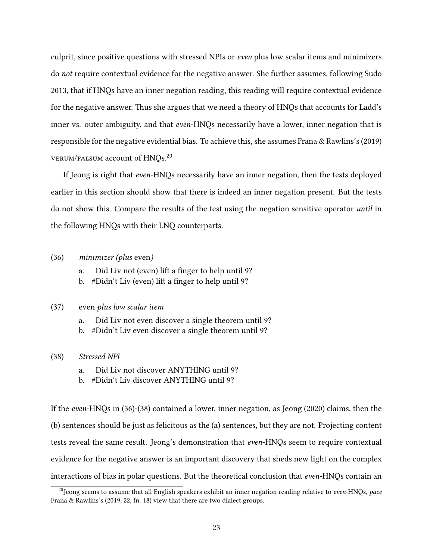culprit, since positive questions with stressed NPIs or even plus low scalar items and minimizers do not require contextual evidence for the negative answer. She further assumes, following [Sudo](#page-45-4) [2013,](#page-45-4) that if HNQs have an inner negation reading, this reading will require contextual evidence for the negative answer. Thus she argues that we need a theory of HNQs that accounts for Ladd's inner vs. outer ambiguity, and that even-HNQs necessarily have a lower, inner negation that is responsible for the negative evidential bias. To achieve this, she assumes [Frana & Rawlins'](#page-42-0)s [\(2019\)](#page-42-0) verum/falsum account of HNQs.[20](#page-22-0)

If Jeong is right that even-HNQs necessarily have an inner negation, then the tests deployed earlier in this section should show that there is indeed an inner negation present. But the tests do not show this. Compare the results of the test using the negation sensitive operator until in the following HNQs with their LNQ counterparts.

#### <span id="page-22-1"></span>(36) minimizer (plus even)

- a. Did Liv not (even) lift a finger to help until 9?
- b. #Didn't Liv (even) lift a finger to help until 9?

#### (37) even plus low scalar item

- a. Did Liv not even discover a single theorem until 9?
- b. #Didn't Liv even discover a single theorem until 9?

#### (38) Stressed NPI

- a. Did Liv not discover ANYTHING until 9?
- b. #Didn't Liv discover ANYTHING until 9?

If the even-HNQs in [\(36\)-](#page-22-1)(38) contained a lower, inner negation, as [Jeong](#page-43-0) [\(2020\)](#page-43-0) claims, then the (b) sentences should be just as felicitous as the (a) sentences, but they are not. Projecting content tests reveal the same result. Jeong's demonstration that even-HNQs seem to require contextual evidence for the negative answer is an important discovery that sheds new light on the complex interactions of bias in polar questions. But the theoretical conclusion that *even*-HNQs contain an

<span id="page-22-0"></span> $^{20}$ Jeong seems to assume that all English speakers exhibit an inner negation reading relative to even-HNQs, pace [Frana & Rawlins'](#page-42-0)s [\(2019,](#page-42-0) 22, fn. 18) view that there are two dialect groups.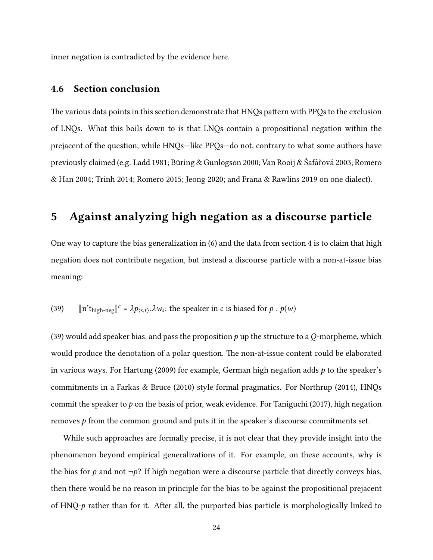inner negation is contradicted by the evidence here.

#### 4.6 Section conclusion

The various data points in this section demonstrate that HNQs pattern with PPQs to the exclusion of LNQs. What this boils down to is that LNQs contain a propositional negation within the prejacent of the question, while HNQs—like PPQs—do not, contrary to what some authors have previously claimed (e.g. [Ladd 1981;](#page-44-0) Büring & Gunlogson 2000; [Van Rooij &](#page-46-0) Šafářová [2003;](#page-46-0) [Romero](#page-45-0) [& Han 2004;](#page-45-0) [Trinh 2014;](#page-45-10) [Romero 2015;](#page-44-3) [Jeong 2020;](#page-43-0) and [Frana & Rawlins 2019](#page-42-0) on one dialect).

# <span id="page-23-0"></span>5 Against analyzing high negation as a discourse particle

One way to capture the bias generalization in [\(6\)](#page-3-4) and the data from [section 4](#page-14-0) is to claim that high negation does not contribute negation, but instead a discourse particle with a non-at-issue bias meaning:

<span id="page-23-1"></span>(39) 
$$
[\![n'\mathbf{t}_{\text{high-neg}}]\!]^c = \lambda p_{\langle s,t\rangle}.\lambda w_s
$$
: the speaker in *c* is biased for *p*. *p(w)*

[\(39\)](#page-23-1) would add speaker bias, and pass the proposition p up the structure to a Q-morpheme, which would produce the denotation of a polar question. The non-at-issue content could be elaborated in various ways. For [Hartung](#page-43-2) [\(2009\)](#page-43-2) for example, German high negation adds  $p$  to the speaker's commitments in a [Farkas & Bruce](#page-41-10) [\(2010\)](#page-41-10) style formal pragmatics. For [Northrup](#page-44-11) [\(2014\)](#page-44-11), HNQs commit the speaker to  $p$  on the basis of prior, weak evidence. For [Taniguchi](#page-45-2) [\(2017\)](#page-45-2), high negation removes  $p$  from the common ground and puts it in the speaker's discourse commitments set.

While such approaches are formally precise, it is not clear that they provide insight into the phenomenon beyond empirical generalizations of it. For example, on these accounts, why is the bias for p and not  $\neg p$ ? If high negation were a discourse particle that directly conveys bias, then there would be no reason in principle for the bias to be against the propositional prejacent of HNQ-p rather than for it. After all, the purported bias particle is morphologically linked to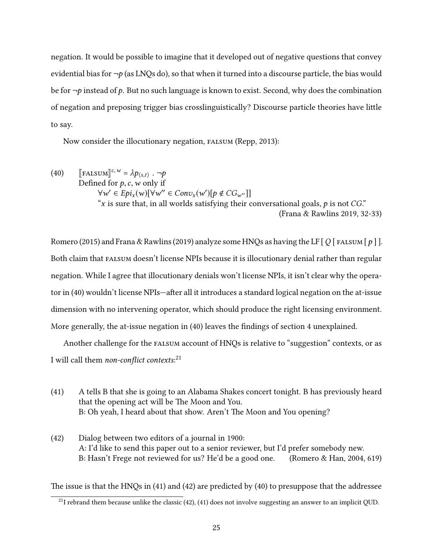negation. It would be possible to imagine that it developed out of negative questions that convey evidential bias for  $\neg p$  (as LNQs do), so that when it turned into a discourse particle, the bias would be for  $\neg p$  instead of p. But no such language is known to exist. Second, why does the combination of negation and preposing trigger bias crosslinguistically? Discourse particle theories have little to say.

<span id="page-24-0"></span>Now consider the illocutionary negation, falsum [\(Repp, 2013\)](#page-44-2):

(40)  $\left[\text{FALSUM}\right]^{c,w} = \lambda p_{\langle s,t \rangle} \cdot \neg p$ <br>Defined for  $p, c, w$  only if Defined for  $p, c, w$  only if  $\forall w' \in Epi_x(w)[\forall w'' \in Conv_x(w')[p \notin CG_{w''}]]$ <br>"x is sure that in all worlds satisfying their quality "x is sure that, in all worlds satisfying their conversational goals,  $p$  is not  $CG$ ." [\(Frana & Rawlins 2019,](#page-42-0) 32-33)

[Romero](#page-44-3) [\(2015\)](#page-44-3) and [Frana & Rawlins](#page-42-0) [\(2019\)](#page-42-0) analyze some HNQs as having the LF  $\lceil Q \rceil$  FALSUM  $\lceil p \rceil$ . Both claim that FALSUM doesn't license NPIs because it is illocutionary denial rather than regular negation. While I agree that illocutionary denials won't license NPIs, it isn't clear why the opera-tor in [\(40\)](#page-24-0) wouldn't license NPIs—after all it introduces a standard logical negation on the at-issue dimension with no intervening operator, which should produce the right licensing environment. More generally, the at-issue negation in [\(40\)](#page-24-0) leaves the findings of [section 4](#page-14-0) unexplained.

Another challenge for the falsum account of HNQs is relative to "suggestion" contexts, or as I will call them non-conflict contexts: $^{21}$  $^{21}$  $^{21}$ 

- <span id="page-24-3"></span><span id="page-24-2"></span>(41) A tells B that she is going to an Alabama Shakes concert tonight. B has previously heard that the opening act will be The Moon and You. B: Oh yeah, I heard about that show. Aren't The Moon and You opening?
- (42) Dialog between two editors of a journal in 1900: A: I'd like to send this paper out to a senior reviewer, but I'd prefer somebody new. B: Hasn't Frege not reviewed for us? He'd be a good one. [\(Romero & Han, 2004,](#page-45-0) 619)

The issue is that the HNQs in [\(41\)](#page-24-2) and [\(42\)](#page-24-3) are predicted by [\(40\)](#page-24-0) to presuppose that the addressee

<span id="page-24-1"></span> $^{21}$ I rebrand them because unlike the classic [\(42\),](#page-24-3) [\(41\)](#page-24-2) does not involve suggesting an answer to an implicit QUD.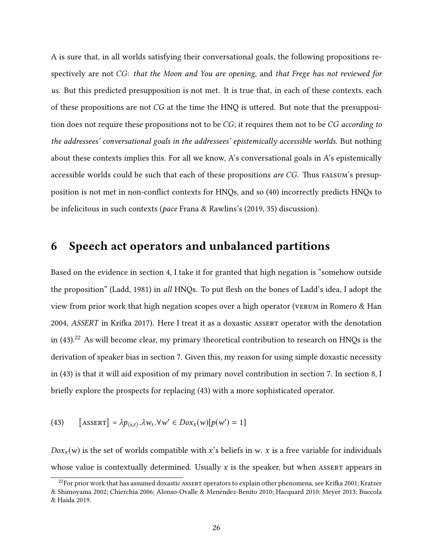A is sure that, in all worlds satisfying their conversational goals, the following propositions respectively are not CG: that the Moon and You are opening, and that Frege has not reviewed for us. But this predicted presupposition is not met. It is true that, in each of these contexts, each of these propositions are not  $CG$  at the time the HNQ is uttered. But note that the presupposition does not require these propositions not to be CG; it requires them not to be CG according to the addressees' conversational goals in the addressees' epistemically accessible worlds. But nothing about these contexts implies this. For all we know, A's conversational goals in A's epistemically accessible worlds could be such that each of these propositions *are CG*. Thus FALSUM's presup-position is not met in non-conflict contexts for HNQs, and so [\(40\)](#page-24-0) incorrectly predicts HNQs to be infelicitous in such contexts (pace [Frana & Rawlins'](#page-42-0)s [\(2019,](#page-42-0) 35) discussion).

## <span id="page-25-0"></span>6 Speech act operators and unbalanced partitions

Based on the evidence in [section 4,](#page-14-0) I take it for granted that high negation is "somehow outside the proposition" [\(Ladd, 1981\)](#page-44-0) in all HNQs. To put flesh on the bones of Ladd's idea, I adopt the view from prior work that high negation scopes over a high operator (verum in [Romero & Han](#page-45-0) [2004,](#page-45-0) ASSERT in Krifka 2017). Here I treat it as a doxastic ASSERT operator with the denotation in [\(43\).](#page-25-1)<sup>[22](#page-25-2)</sup> As will become clear, my primary theoretical contribution to research on HNQs is the derivation of speaker bias in [section 7.](#page-28-0) Given this, my reason for using simple doxastic necessity in [\(43\)](#page-25-1) is that it will aid exposition of my primary novel contribution in [section 7.](#page-28-0) In [section 8,](#page-37-0) I briefly explore the prospects for replacing [\(43\)](#page-25-1) with a more sophisticated operator.

<span id="page-25-1"></span>(43) 
$$
\llbracket \text{ASBERT} \rrbracket = \lambda p_{\langle s,t \rangle} . \lambda w_s . \forall w' \in Dox_x(w)[p(w') = 1]
$$

 $D\alpha x<sub>x</sub>(w)$  is the set of worlds compatible with x's beliefs in w. x is a free variable for individuals whose value is contextually determined. Usually  $x$  is the speaker, but when ASSERT appears in

<span id="page-25-2"></span> $^{22}$ For prior work that has assumed doxastic ASSERT operators to explain other phenomena, see Krifka 2001; [Kratzer](#page-43-14) [& Shimoyama 2002;](#page-43-14) [Chierchia 2006;](#page-41-11) [Alonso-Ovalle & Menendez-Benito 2010;](#page-41-12) [Hacquard 2010;](#page-43-15) [Meyer 2013;](#page-44-12) [Buccola](#page-41-13) ´ [& Haida 2019.](#page-41-13)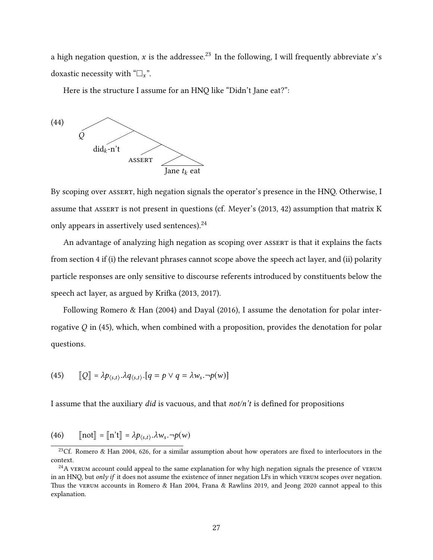a high negation question, x is the addressee.<sup>[23](#page-26-0)</sup> In the following, I will frequently abbreviate x's doxastic necessity with " $\Box_x$ ".

<span id="page-26-3"></span>Here is the structure I assume for an HNQ like "Didn't Jane eat?":



By scoping over assert, high negation signals the operator's presence in the HNQ. Otherwise, I assume that ASSERT is not present in questions (cf. [Meyer'](#page-44-12)s [\(2013,](#page-44-12) 42) assumption that matrix K only appears in assertively used sentences).<sup>[24](#page-26-1)</sup>

An advantage of analyzing high negation as scoping over ASSERT is that it explains the facts from [section 4](#page-14-0) if (i) the relevant phrases cannot scope above the speech act layer, and (ii) polarity particle responses are only sensitive to discourse referents introduced by constituents below the speech act layer, as argued by Krifka [\(2013,](#page-43-11) [2017\)](#page-44-1).

Following [Romero & Han](#page-45-0) [\(2004\)](#page-45-0) and [Dayal](#page-41-14) [\(2016\)](#page-41-14), I assume the denotation for polar interrogative  $Q$  in [\(45\),](#page-26-2) which, when combined with a proposition, provides the denotation for polar questions.

<span id="page-26-2"></span>(45) 
$$
[\![Q]\!] = \lambda p_{\langle s,t\rangle} \cdot \lambda q_{\langle s,t\rangle} \cdot [q = p \vee q = \lambda w_s \cdot \neg p(w)]
$$

I assume that the auxiliary did is vacuous, and that  $not/n't$  is defined for propositions

(46) 
$$
[\text{not}] = [\text{in't}] = \lambda p_{\langle s,t \rangle} . \lambda w_s . \neg p(w)
$$

<span id="page-26-0"></span><sup>&</sup>lt;sup>23</sup>Cf. [Romero & Han 2004,](#page-45-0) 626, for a similar assumption about how operators are fixed to interlocutors in the context.

<span id="page-26-1"></span><sup>&</sup>lt;sup>24</sup>A vertum account could appeal to the same explanation for why high negation signals the presence of vertum in an HNQ, but only if it does not assume the existence of inner negation LFs in which vERUM scopes over negation. Thus the vERUM accounts in [Romero & Han 2004,](#page-45-0) [Frana & Rawlins 2019,](#page-42-0) and [Jeong 2020](#page-43-0) cannot appeal to this explanation.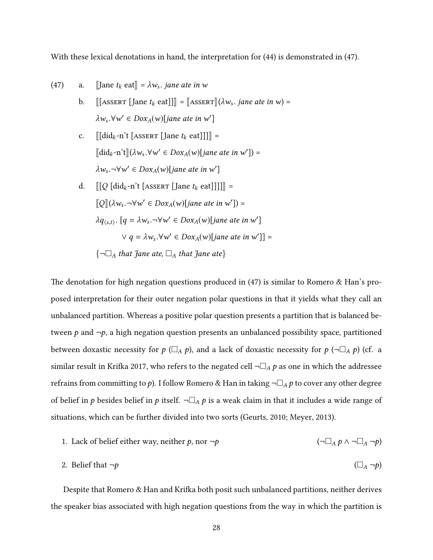<span id="page-27-0"></span>With these lexical denotations in hand, the interpretation for [\(44\)](#page-26-3) is demonstrated in [\(47\).](#page-27-0)

(47) a. [Jane 
$$
t_k
$$
 eat] =  $\lambda w_s$ . *jane ate in w*

- b.  $[[[{\tt AssERT}][{\tt Jane}~t_k~{\tt eat}]]]] = [{\tt AssERT}](\lambda w_s. {\tt jane}~ate~in~w) =$  $\lambda w_s. \forall w' \in \text{Dox}_A(w)$ [jane ate in w']
- c.  $[[\text{did}_k n't \, [\text{Asserr} \, [\text{Jane } t_k \, \text{eat}]]]] =$  $[\![\text{did}_k\text{-n't}]\!](\lambda w_s. \forall w' \in Dox_A(w)[\text{Jane ate in } w']) =$  $\lambda w_s. \neg \forall w' \in Dox_A(w)$ [jane ate in w']
- d.  $[[Q [did_k-n't [Answer [Jane t_k eat]]]]]$  =  $[\![Q]\!](\lambda w_s. \neg \forall w' \in Dox_A(w)[\text{Jane ate in } w']) =$  $\lambda q_{\langle s,t \rangle}$ . [ $q = \lambda w_s. \neg \forall w' \in Dox_A(w)$ [jane ate in w']  $\forall q = \lambda w_s. \forall w' \in Dox_A(w)[jane \ate \ in \ w']$ ] =  $\{\neg \Box_A$  that Jane ate,  $\Box_A$  that Jane ate}

The denotation for high negation questions produced in  $(47)$  is similar to [Romero & Han'](#page-45-0)s proposed interpretation for their outer negation polar questions in that it yields what they call an unbalanced partition. Whereas a positive polar question presents a partition that is balanced between p and  $\neg p$ , a high negation question presents an unbalanced possibility space, partitioned between doxastic necessity for  $p(\Box_A p)$ , and a lack of doxastic necessity for  $p(\neg \Box_A p)$  (cf. a similar result in Krifka 2017, who refers to the negated cell  $\neg\Box_A p$  as one in which the addressee refrains from committing to p). I follow Romero & Han in taking  $\neg\Box_A p$  to cover any other degree of belief in p besides belief in p itself.  $\neg\Box_A p$  is a weak claim in that it includes a wide range of situations, which can be further divided into two sorts [\(Geurts, 2010;](#page-42-8) [Meyer, 2013\)](#page-44-12).

1. *Jack of belief either way, neither* 
$$
p
$$
, nor  $\neg p$  
$$
(\neg \Box_A p \land \neg \Box_A \neg p)
$$

2. Belief that 
$$
\neg p
$$
  $(\Box_A \neg p)$ 

Despite that Romero & Han and Krifka both posit such unbalanced partitions, neither derives the speaker bias associated with high negation questions from the way in which the partition is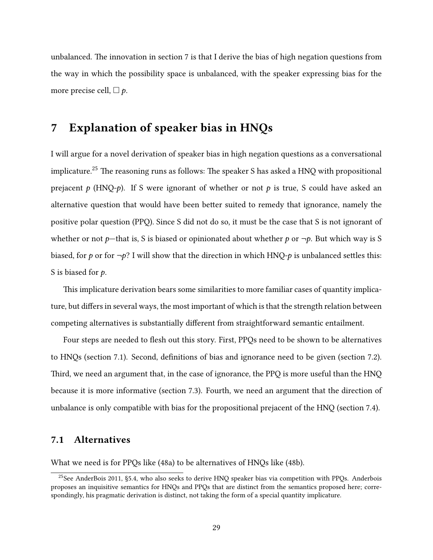unbalanced. The innovation in [section 7](#page-28-0) is that I derive the bias of high negation questions from the way in which the possibility space is unbalanced, with the speaker expressing bias for the more precise cell,  $\Box p$ .

## <span id="page-28-0"></span>7 Explanation of speaker bias in HNQs

I will argue for a novel derivation of speaker bias in high negation questions as a conversational implicature.<sup>[25](#page-28-1)</sup> The reasoning runs as follows: The speaker S has asked a HNQ with propositional prejacent p (HNQ-p). If S were ignorant of whether or not p is true, S could have asked an alternative question that would have been beer suited to remedy that ignorance, namely the positive polar question (PPQ). Since S did not do so, it must be the case that S is not ignorant of whether or not p—that is, S is biased or opinionated about whether p or  $\neg p$ . But which way is S biased, for p or for  $\neg p$ ? I will show that the direction in which HNQ-p is unbalanced settles this: S is biased for  $p$ .

This implicature derivation bears some similarities to more familiar cases of quantity implicature, but differs in several ways, the most important of which is that the strength relation between competing alternatives is substantially different from straightforward semantic entailment.

Four steps are needed to flesh out this story. First, PPQs need to be shown to be alternatives to HNQs [\(section 7.1\)](#page-28-2). Second, definitions of bias and ignorance need to be given [\(section 7.2\)](#page-30-0). Third, we need an argument that, in the case of ignorance, the PPQ is more useful than the HNQ because it is more informative [\(section 7.3\)](#page-31-0). Fourth, we need an argument that the direction of unbalance is only compatible with bias for the propositional prejacent of the HNQ [\(section 7.4\)](#page-35-0).

#### <span id="page-28-2"></span>7.1 Alternatives

What we need is for PPQs like [\(48a\)](#page-29-0) to be alternatives of HNQs like [\(48b\).](#page-29-1)

<span id="page-28-3"></span><span id="page-28-1"></span><sup>&</sup>lt;sup>25</sup>See [AnderBois 2011,](#page-41-1) §5.4, who also seeks to derive HNQ speaker bias via competition with PPQs. Anderbois proposes an inquisitive semantics for HNQs and PPQs that are distinct from the semantics proposed here; correspondingly, his pragmatic derivation is distinct, not taking the form of a special quantity implicature.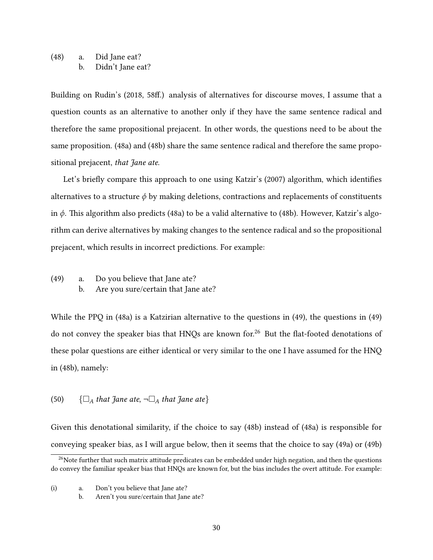#### <span id="page-29-1"></span><span id="page-29-0"></span>(48) a. Did Jane eat? b. Didn't Jane eat?

Building on [Rudin'](#page-45-16)s [\(2018,](#page-45-16) 58ff.) analysis of alternatives for discourse moves, I assume that a question counts as an alternative to another only if they have the same sentence radical and therefore the same propositional prejacent. In other words, the questions need to be about the same proposition. [\(48a\)](#page-29-0) and [\(48b\)](#page-29-1) share the same sentence radical and therefore the same propositional prejacent, that Jane ate.

Let's briefly compare this approach to one using [Katzir'](#page-43-16)s [\(2007\)](#page-43-16) algorithm, which identifies alternatives to a structure  $\phi$  by making deletions, contractions and replacements of constituents in  $\phi$ . This algorithm also predicts [\(48a\)](#page-29-0) to be a valid alternative to [\(48b\).](#page-29-1) However, Katzir's algorithm can derive alternatives by making changes to the sentence radical and so the propositional prejacent, which results in incorrect predictions. For example:

<span id="page-29-5"></span><span id="page-29-4"></span><span id="page-29-2"></span>(49) a. Do you believe that Jane ate? b. Are you sure/certain that Jane ate?

While the PPQ in [\(48a\)](#page-29-0) is a Katzirian alternative to the questions in [\(49\),](#page-29-2) the questions in [\(49\)](#page-29-2) do not convey the speaker bias that HNQs are known for.<sup>[26](#page-29-3)</sup> But the flat-footed denotations of these polar questions are either identical or very similar to the one I have assumed for the HNQ in [\(48b\),](#page-29-1) namely:

#### (50)  $\{\Box_A \text{ that } \exists \text{ and } \text{ are } \Box_A \text{ that } \exists \text{ and } \text{ are } \text{ are } \}$

Given this denotational similarity, if the choice to say [\(48b\)](#page-29-1) instead of [\(48a\)](#page-29-0) is responsible for conveying speaker bias, as I will argue below, then it seems that the choice to say [\(49a\)](#page-29-4) or [\(49b\)](#page-29-5)

<span id="page-29-3"></span><sup>&</sup>lt;sup>26</sup>Note further that such matrix attitude predicates can be embedded under high negation, and then the questions do convey the familiar speaker bias that HNQs are known for, but the bias includes the overt aitude. For example:

<sup>(</sup>i) a. Don't you believe that Jane ate?

b. Aren't you sure/certain that Jane ate?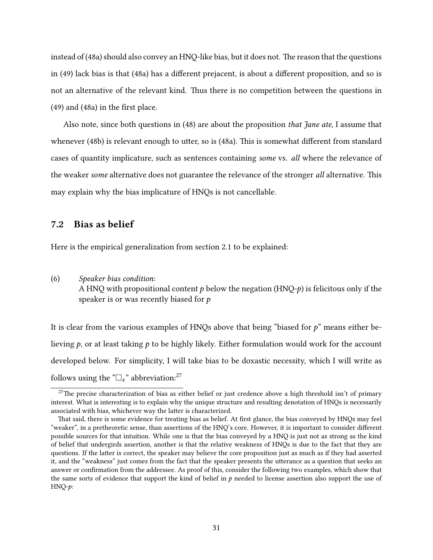instead of  $(48a)$  should also convey an HNQ-like bias, but it does not. The reason that the questions in [\(49\)](#page-29-2) lack bias is that [\(48a\)](#page-29-0) has a different prejacent, is about a different proposition, and so is not an alternative of the relevant kind. Thus there is no competition between the questions in  $(49)$  and  $(48a)$  in the first place.

Also note, since both questions in [\(48\)](#page-28-3) are about the proposition *that fane ate*, I assume that whenever [\(48b\)](#page-29-1) is relevant enough to utter, so is [\(48a\).](#page-29-0) This is somewhat different from standard cases of quantity implicature, such as sentences containing some vs. all where the relevance of the weaker some alternative does not guarantee the relevance of the stronger all alternative. This may explain why the bias implicature of HNQs is not cancellable.

#### <span id="page-30-0"></span>7.2 Bias as belief

Here is the empirical generalization from [section 2.1](#page-2-1) to be explained:

# [\(6\)](#page-3-4) Speaker bias condition:

A HNQ with propositional content  $p$  below the negation (HNQ- $p$ ) is felicitous only if the speaker is or was recently biased for  $p$ 

It is clear from the various examples of HNQs above that being "biased for  $p$ " means either believing  $p$ , or at least taking  $p$  to be highly likely. Either formulation would work for the account developed below. For simplicity, I will take bias to be doxastic necessity, which I will write as follows using the " $\Box_x$ " abbreviation:<sup>[27](#page-30-1)</sup>

<span id="page-30-1"></span> $27$ The precise characterization of bias as either belief or just credence above a high threshold isn't of primary interest. What is interesting is to explain why the unique structure and resulting denotation of HNQs is necessarily associated with bias, whichever way the latter is characterized.

That said, there is some evidence for treating bias as belief. At first glance, the bias conveyed by HNQs may feel "weaker", in a pretheoretic sense, than assertions of the HNQ's core. However, it is important to consider different possible sources for that intuition. While one is that the bias conveyed by a HNQ is just not as strong as the kind of belief that undergirds assertion, another is that the relative weakness of HNQs is due to the fact that they are questions. If the latter is correct, the speaker may believe the core proposition just as much as if they had asserted it, and the "weakness" just comes from the fact that the speaker presents the utterance as a question that seeks an answer or conrmation from the addressee. As proof of this, consider the following two examples, which show that the same sorts of evidence that support the kind of belief in  $p$  needed to license assertion also support the use of HNQ-p: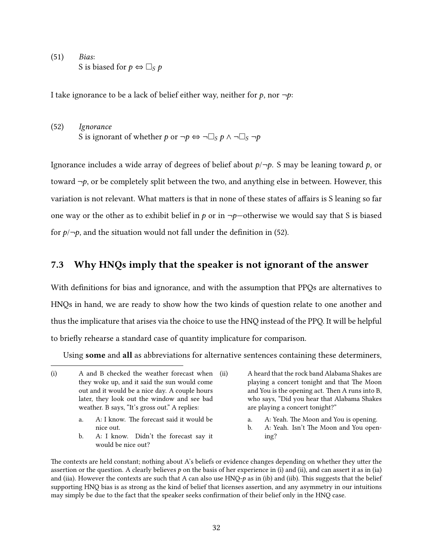(51) Bias: S is biased for  $p \Leftrightarrow \Box_S p$ 

<span id="page-31-1"></span>I take ignorance to be a lack of belief either way, neither for  $p$ , nor  $\neg p$ :

(52) Ignorance S is ignorant of whether p or  $\neg p \Leftrightarrow \neg \Box_S p \wedge \neg \Box_S \neg p$ 

Ignorance includes a wide array of degrees of belief about  $p/\neg p$ . S may be leaning toward p, or toward  $\neg p$ , or be completely split between the two, and anything else in between. However, this variation is not relevant. What matters is that in none of these states of affairs is S leaning so far one way or the other as to exhibit belief in p or in  $\neg p$ —otherwise we would say that S is biased for  $p/\neg p$ , and the situation would not fall under the definition in [\(52\).](#page-31-1)

## <span id="page-31-0"></span>7.3 Why HNQs imply that the speaker is not ignorant of the answer

With definitions for bias and ignorance, and with the assumption that PPQs are alternatives to HNQs in hand, we are ready to show how the two kinds of question relate to one another and thus the implicature that arises via the choice to use the HNQ instead of the PPQ. It will be helpful to briefly rehearse a standard case of quantity implicature for comparison.

Using some and all as abbreviations for alternative sentences containing these determiners,

- <span id="page-31-4"></span>a. A: I know. The forecast said it would be nice out.
- <span id="page-31-6"></span>b. A: I know. Didn't the forecast say it would be nice out?
- <span id="page-31-5"></span>a. A: Yeah. The Moon and You is opening.
- <span id="page-31-7"></span>b. A: Yeah. Isn't The Moon and You opening?

<span id="page-31-2"></span><sup>(</sup>i) A and B checked the weather forecast when they woke up, and it said the sun would come out and it would be a nice day. A couple hours later, they look out the window and see bad weather. B says, "It's gross out." A replies:

A heard that the rock band Alabama Shakes are playing a concert tonight and that The Moon and You is the opening act. Then A runs into B, who says, "Did you hear that Alabama Shakes are playing a concert tonight?"

<span id="page-31-3"></span>The contexts are held constant; nothing about A's beliefs or evidence changes depending on whether they utter the assertion or the question. A clearly believes  $p$  on the basis of her experience in [\(i\)](#page-31-2) and [\(ii\),](#page-31-3) and can assert it as in [\(ia\)](#page-31-4) and [\(iia\).](#page-31-5) However the contexts are such that A can also use  $HNQ-p$  as in [\(ib\)](#page-31-6) and [\(iib\).](#page-31-7) This suggests that the belief supporting HNQ bias is as strong as the kind of belief that licenses assertion, and any asymmetry in our intuitions may simply be due to the fact that the speaker seeks confirmation of their belief only in the HNQ case.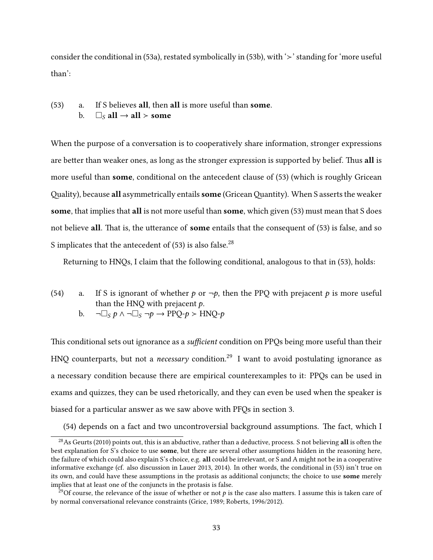<span id="page-32-2"></span>consider the conditional in [\(53a\),](#page-32-0) restated symbolically in [\(53b\),](#page-32-1) with  $\geq$  standing for 'more useful than':

<span id="page-32-1"></span><span id="page-32-0"></span>(53) a. If S believes all, then all is more useful than some. b.  $\square_S$  all  $\rightarrow$  all  $>$  some

When the purpose of a conversation is to cooperatively share information, stronger expressions are better than weaker ones, as long as the stronger expression is supported by belief. Thus all is more useful than **some**, conditional on the antecedent clause of [\(53\)](#page-32-2) (which is roughly Gricean Quality), because all asymmetrically entails some (Gricean Quantity). When S asserts the weaker some, that implies that all is not more useful than some, which given [\(53\)](#page-32-2) must mean that S does not believe all. That is, the utterance of some entails that the consequent of  $(53)$  is false, and so S implicates that the antecedent of  $(53)$  is also false.<sup>[28](#page-32-3)</sup>

<span id="page-32-5"></span>Returning to HNQs, I claim that the following conditional, analogous to that in [\(53\),](#page-32-2) holds:

- (54) a. If S is ignorant of whether p or  $\neg p$ , then the PPQ with prejacent p is more useful than the HNQ with prejacent  $p$ .
	- b.  $\neg\Box_S p \wedge \neg\Box_S \neg p \rightarrow PPQ-p \succ HNQ-p$

This conditional sets out ignorance as a sufficient condition on PPQs being more useful than their HNQ counterparts, but not a *necessary* condition.<sup>[29](#page-32-4)</sup> I want to avoid postulating ignorance as a necessary condition because there are empirical counterexamples to it: PPQs can be used in exams and quizzes, they can be used rhetorically, and they can even be used when the speaker is biased for a particular answer as we saw above with PFQs in [section 3.](#page-5-0)

<span id="page-32-3"></span> $(54)$  depends on a fact and two uncontroversial background assumptions. The fact, which I

<sup>&</sup>lt;sup>28</sup>As [Geurts](#page-42-8) [\(2010\)](#page-42-8) points out, this is an abductive, rather than a deductive, process. S not believing all is often the best explanation for S's choice to use some, but there are several other assumptions hidden in the reasoning here, the failure of which could also explain S's choice, e.g. all could be irrelevant, or S and A might not be in a cooperative informative exchange (cf. also discussion in [Lauer 2013,](#page-44-13) [2014\)](#page-44-14). In other words, the conditional in [\(53\)](#page-32-2) isn't true on its own, and could have these assumptions in the protasis as additional conjuncts; the choice to use **some** merely implies that at least one of the conjuncts in the protasis is false.

<span id="page-32-4"></span><sup>&</sup>lt;sup>29</sup>Of course, the relevance of the issue of whether or not p is the case also matters. I assume this is taken care of by normal conversational relevance constraints [\(Grice, 1989;](#page-42-6) [Roberts, 1996/2012\)](#page-44-5).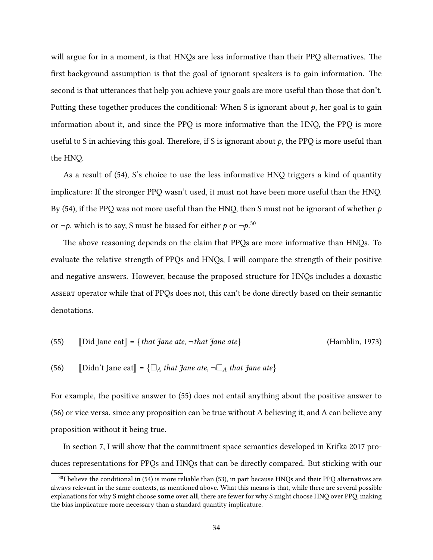will argue for in a moment, is that HNQs are less informative than their PPQ alternatives. The first background assumption is that the goal of ignorant speakers is to gain information. The second is that utterances that help you achieve your goals are more useful than those that don't. Putting these together produces the conditional: When S is ignorant about  $p$ , her goal is to gain information about it, and since the PPQ is more informative than the HNQ, the PPQ is more useful to S in achieving this goal. Therefore, if S is ignorant about  $p$ , the PPQ is more useful than the HNQ.

As a result of [\(54\),](#page-32-5) S's choice to use the less informative HNQ triggers a kind of quantity implicature: If the stronger PPQ wasn't used, it must not have been more useful than the HNQ. By [\(54\),](#page-32-5) if the PPQ was not more useful than the HNQ, then S must not be ignorant of whether  $p$ or  $\neg p$ , which is to say, S must be biased for either  $p$  or  $\neg p$ .<sup>[30](#page-33-0)</sup>

The above reasoning depends on the claim that PPQs are more informative than HNQs. To evaluate the relative strength of PPQs and HNQs, I will compare the strength of their positive and negative answers. However, because the proposed structure for HNQs includes a doxastic assert operator while that of PPQs does not, this can't be done directly based on their semantic denotations.

<span id="page-33-2"></span><span id="page-33-1"></span>(55) [Did Jane eat] = { that Jane ate, 
$$
\neg
$$
 that Jane ate} (Hamblin, 1973)

(56) [Didn't Jane eat] = 
$$
\{\Box_A \text{ that Jane ate}, \neg \Box_A \text{ that Jane ate}\}
$$

For example, the positive answer to [\(55\)](#page-33-1) does not entail anything about the positive answer to [\(56\)](#page-33-2) or vice versa, since any proposition can be true without A believing it, and A can believe any proposition without it being true.

In [section 7,](#page-28-0) I will show that the commitment space semantics developed in Krifka 2017 produces representations for PPQs and HNQs that can be directly compared. But sticking with our

<span id="page-33-0"></span> $30$ I believe the conditional in [\(54\)](#page-32-5) is more reliable than [\(53\),](#page-32-2) in part because HNQs and their PPQ alternatives are always relevant in the same contexts, as mentioned above. What this means is that, while there are several possible explanations for why S might choose **some** over all, there are fewer for why S might choose HNQ over PPQ, making the bias implicature more necessary than a standard quantity implicature.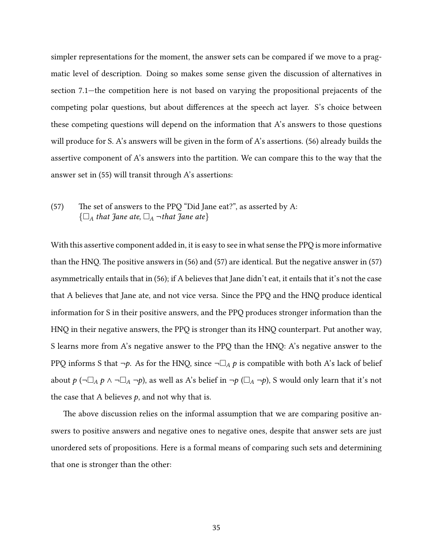simpler representations for the moment, the answer sets can be compared if we move to a pragmatic level of description. Doing so makes some sense given the discussion of alternatives in [section 7.1—](#page-28-2)the competition here is not based on varying the propositional prejacents of the competing polar questions, but about differences at the speech act layer. S's choice between these competing questions will depend on the information that A's answers to those questions will produce for S. A's answers will be given in the form of A's assertions. [\(56\)](#page-33-2) already builds the assertive component of A's answers into the partition. We can compare this to the way that the answer set in [\(55\)](#page-33-1) will transit through A's assertions:

## <span id="page-34-0"></span>(57) The set of answers to the PPQ "Did Jane eat?", as asserted by A:  $\{\Box_A$  that Jane ate,  $\Box_A$  ¬that Jane ate}

With this assertive component added in, it is easy to see in what sense the PPQ is more informative than the HNQ. The positive answers in  $(56)$  and  $(57)$  are identical. But the negative answer in  $(57)$ asymmetrically entails that in [\(56\);](#page-33-2) if A believes that Jane didn't eat, it entails that it's not the case that A believes that Jane ate, and not vice versa. Since the PPQ and the HNQ produce identical information for S in their positive answers, and the PPQ produces stronger information than the HNQ in their negative answers, the PPQ is stronger than its HNQ counterpart. Put another way, S learns more from A's negative answer to the PPQ than the HNQ: A's negative answer to the PPQ informs S that  $\neg p$ . As for the HNQ, since  $\neg \Box_A p$  is compatible with both A's lack of belief about  $p(\neg \Box_A p \land \neg \Box_A \neg p)$ , as well as A's belief in  $\neg p(\Box_A \neg p)$ , S would only learn that it's not the case that A believes  $p$ , and not why that is.

The above discussion relies on the informal assumption that we are comparing positive answers to positive answers and negative ones to negative ones, despite that answer sets are just unordered sets of propositions. Here is a formal means of comparing such sets and determining that one is stronger than the other: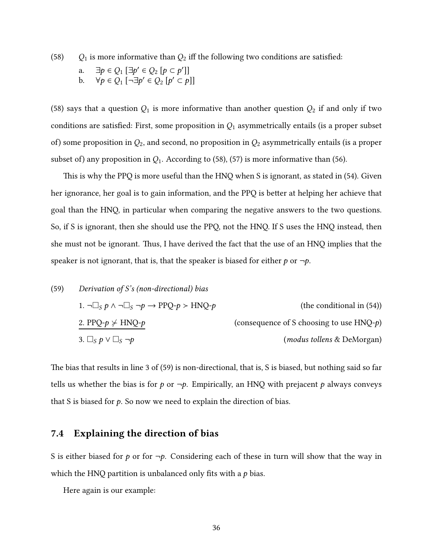<span id="page-35-1"></span>(58)  $Q_1$  is more informative than  $Q_2$  iff the following two conditions are satisfied:

a. 
$$
\exists p \in Q_1 \ [\exists p' \in Q_2 \ [p \subset p']\]
$$
  
b.  $\forall p \in Q_1 \ [\neg \exists p' \in Q_2 \ [p' \subset p]\]$ 

[\(58\)](#page-35-1) says that a question  $Q_1$  is more informative than another question  $Q_2$  if and only if two conditions are satisfied: First, some proposition in  $Q_1$  asymmetrically entails (is a proper subset of) some proposition in  $Q_2$ , and second, no proposition in  $Q_2$  asymmetrically entails (is a proper subset of) any proposition in  $Q_1$ . According to [\(58\),](#page-35-1) [\(57\)](#page-34-0) is more informative than [\(56\).](#page-33-2)

This is why the PPQ is more useful than the HNQ when S is ignorant, as stated in [\(54\).](#page-32-5) Given her ignorance, her goal is to gain information, and the PPQ is better at helping her achieve that goal than the HNQ, in particular when comparing the negative answers to the two questions. So, if S is ignorant, then she should use the PPQ, not the HNQ. If S uses the HNQ instead, then she must not be ignorant. Thus, I have derived the fact that the use of an  $HNQ$  implies that the speaker is not ignorant, that is, that the speaker is biased for either  $p$  or  $\neg p$ .

<span id="page-35-2"></span>(59) *Derivation of S's (non-directional) bias*  
\n1. 
$$
\neg \Box_S p \land \neg \Box_S \neg p \rightarrow PPQ \neg p > H N Q \neg p
$$
 (the conditional in (54))  
\n2.  $PPQ \neg p \not\vdash H N Q \neg p$  (consequence of S choosing to use  $H N Q \neg p$ )  
\n3.  $\Box_S p \lor \Box_S \neg p$  (modus tollens & DeMorgan)

The bias that results in line 3 of [\(59\)](#page-35-2) is non-directional, that is, S is biased, but nothing said so far tells us whether the bias is for p or  $\neg p$ . Empirically, an HNQ with prejacent p always conveys that S is biased for  $p$ . So now we need to explain the direction of bias.

## <span id="page-35-0"></span>7.4 Explaining the direction of bias

S is either biased for p or for  $\neg p$ . Considering each of these in turn will show that the way in which the HNQ partition is unbalanced only fits with a  $p$  bias.

Here again is our example: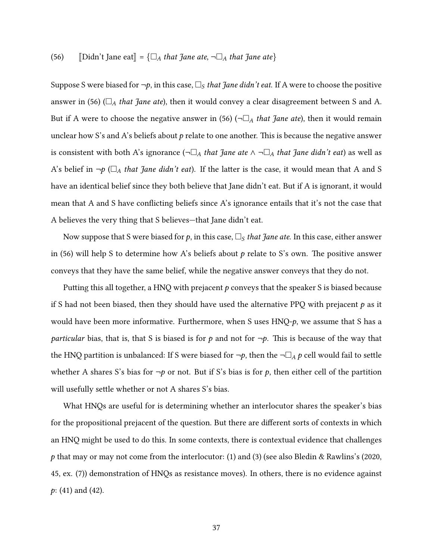#### [\(56\)](#page-33-2) [Didn't Jane eat] = { $\square_A$  that Jane ate,  $\neg \square_A$  that Jane ate}

Suppose S were biased for  $\neg p$ , in this case,  $\Box_S$  that Jane didn't eat. If A were to choose the positive answer in [\(56\)](#page-33-2) ( $\square_A$  that Jane ate), then it would convey a clear disagreement between S and A. But if A were to choose the negative answer in [\(56\)](#page-33-2) ( $\neg\Box_A$  that Jane ate), then it would remain unclear how S's and A's beliefs about  $p$  relate to one another. This is because the negative answer is consistent with both A's ignorance ( $\neg\Box_A$  that Jane ate  $\wedge \neg\Box_A$  that Jane didn't eat) as well as A's belief in  $\neg p$  ( $\Box_A$  that Jane didn't eat). If the latter is the case, it would mean that A and S have an identical belief since they both believe that Jane didn't eat. But if A is ignorant, it would mean that A and S have conflicting beliefs since A's ignorance entails that it's not the case that A believes the very thing that S believes—that Jane didn't eat.

Now suppose that S were biased for p, in this case,  $\Box$ <sub>S</sub> that Jane ate. In this case, either answer in [\(56\)](#page-33-2) will help S to determine how A's beliefs about p relate to S's own. The positive answer conveys that they have the same belief, while the negative answer conveys that they do not.

Putting this all together, a HNQ with prejacent  $p$  conveys that the speaker S is biased because if S had not been biased, then they should have used the alternative PPQ with prejacent  $p$  as it would have been more informative. Furthermore, when S uses  $HNQ-p$ , we assume that S has a particular bias, that is, that S is biased is for p and not for  $\neg p$ . This is because of the way that the HNQ partition is unbalanced: If S were biased for  $\neg p$ , then the  $\neg \Box_A p$  cell would fail to settle whether A shares S's bias for  $\neg p$  or not. But if S's bias is for p, then either cell of the partition will usefully settle whether or not A shares S's bias.

What HNQs are useful for is determining whether an interlocutor shares the speaker's bias for the propositional prejacent of the question. But there are different sorts of contexts in which an HNQ might be used to do this. In some contexts, there is contextual evidence that challenges p that may or may not come from the interlocutor: [\(1\)](#page-0-0) and [\(3\)](#page-3-0) (see also [Bledin & Rawlins'](#page-41-15)s [\(2020,](#page-41-15) 45, ex. (7)) demonstration of HNQs as resistance moves). In others, there is no evidence against p: [\(41\)](#page-24-2) and [\(42\).](#page-24-3)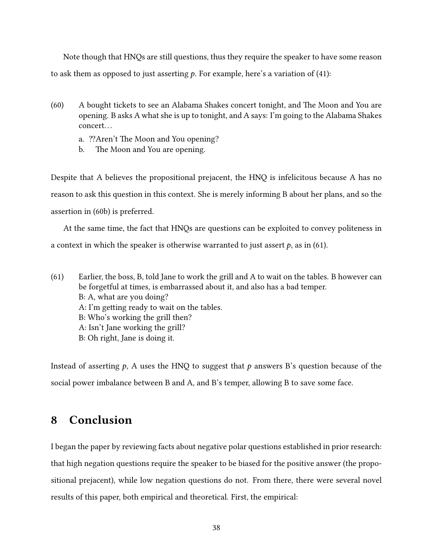Note though that HNQs are still questions, thus they require the speaker to have some reason to ask them as opposed to just asserting  $p$ . For example, here's a variation of [\(41\):](#page-24-2)

- (60) A bought tickets to see an Alabama Shakes concert tonight, and The Moon and You are opening. B asks A what she is up to tonight, and A says: I'm going to the Alabama Shakes concert. . .
	- a. ?? Aren't The Moon and You opening?
	- b. The Moon and You are opening.

<span id="page-37-1"></span>Despite that A believes the propositional prejacent, the HNQ is infelicitous because A has no reason to ask this question in this context. She is merely informing B about her plans, and so the assertion in [\(60b\)](#page-37-1) is preferred.

At the same time, the fact that HNQs are questions can be exploited to convey politeness in a context in which the speaker is otherwise warranted to just assert  $p$ , as in [\(61\).](#page-37-2)

<span id="page-37-2"></span>(61) Earlier, the boss, B, told Jane to work the grill and A to wait on the tables. B however can be forgetful at times, is embarrassed about it, and also has a bad temper. B: A, what are you doing?  $A: I'm$  getting ready to wait on the tables. B: Who's working the grill then? A: Isn't Jane working the grill? B: Oh right, Jane is doing it.

Instead of asserting  $p$ , A uses the HNQ to suggest that p answers B's question because of the social power imbalance between B and A, and B's temper, allowing B to save some face.

# <span id="page-37-0"></span>8 Conclusion

I began the paper by reviewing facts about negative polar questions established in prior research: that high negation questions require the speaker to be biased for the positive answer (the propositional prejacent), while low negation questions do not. From there, there were several novel results of this paper, both empirical and theoretical. First, the empirical: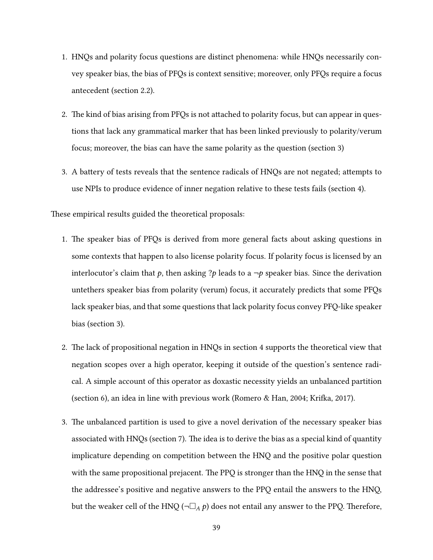- 1. HNQs and polarity focus questions are distinct phenomena: while HNQs necessarily convey speaker bias, the bias of PFQs is context sensitive; moreover, only PFQs require a focus antecedent [\(section 2.2\)](#page-4-5).
- 2. The kind of bias arising from PFQs is not attached to polarity focus, but can appear in questions that lack any grammatical marker that has been linked previously to polarity/verum focus; moreover, the bias can have the same polarity as the question [\(section 3\)](#page-5-0)
- 3. A battery of tests reveals that the sentence radicals of HNQs are not negated; attempts to use NPIs to produce evidence of inner negation relative to these tests fails [\(section 4\)](#page-14-0).

These empirical results guided the theoretical proposals:

- 1. The speaker bias of PFQs is derived from more general facts about asking questions in some contexts that happen to also license polarity focus. If polarity focus is licensed by an interlocutor's claim that p, then asking ?p leads to a  $\neg p$  speaker bias. Since the derivation untethers speaker bias from polarity (verum) focus, it accurately predicts that some PFQs lack speaker bias, and that some questions that lack polarity focus convey PFQ-like speaker bias [\(section 3\)](#page-5-0).
- 2. The lack of propositional negation in HNQs in [section 4](#page-14-0) supports the theoretical view that negation scopes over a high operator, keeping it outside of the question's sentence radical. A simple account of this operator as doxastic necessity yields an unbalanced partition [\(section 6\)](#page-25-0), an idea in line with previous work [\(Romero & Han, 2004;](#page-45-0) Krifka, 2017).
- 3. The unbalanced partition is used to give a novel derivation of the necessary speaker bias associated with HNQs [\(section 7\)](#page-28-0). The idea is to derive the bias as a special kind of quantity implicature depending on competition between the HNQ and the positive polar question with the same propositional prejacent. The PPQ is stronger than the HNQ in the sense that the addressee's positive and negative answers to the PPQ entail the answers to the HNQ, but the weaker cell of the HNQ ( $\neg \Box_A p$ ) does not entail any answer to the PPQ. Therefore,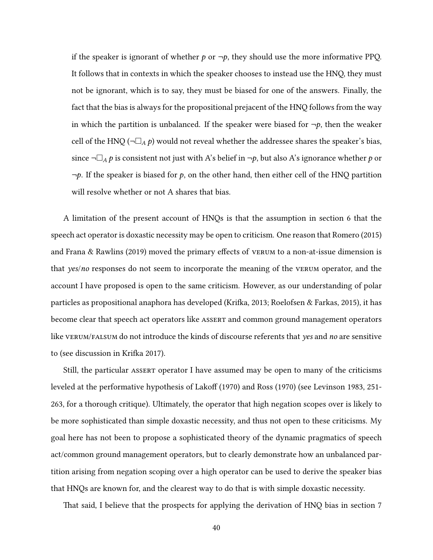if the speaker is ignorant of whether  $p$  or  $\neg p$ , they should use the more informative PPQ. It follows that in contexts in which the speaker chooses to instead use the HNQ, they must not be ignorant, which is to say, they must be biased for one of the answers. Finally, the fact that the bias is always for the propositional prejacent of the HNQ follows from the way in which the partition is unbalanced. If the speaker were biased for  $\neg p$ , then the weaker cell of the HNQ ( $\neg\Box_A p$ ) would not reveal whether the addressee shares the speaker's bias, since  $\neg\Box_A p$  is consistent not just with A's belief in  $\neg p$ , but also A's ignorance whether p or  $\neg p$ . If the speaker is biased for p, on the other hand, then either cell of the HNQ partition will resolve whether or not A shares that bias.

A limitation of the present account of HNQs is that the assumption in [section 6](#page-25-0) that the speech act operator is doxastic necessity may be open to criticism. One reason that [Romero](#page-44-3) [\(2015\)](#page-44-3) and [Frana & Rawlins](#page-42-0) [\(2019\)](#page-42-0) moved the primary effects of  $v$ ERUM to a non-at-issue dimension is that yes/no responses do not seem to incorporate the meaning of the verum operator, and the account I have proposed is open to the same criticism. However, as our understanding of polar particles as propositional anaphora has developed (Krifka, 2013; [Roelofsen & Farkas, 2015\)](#page-44-7), it has become clear that speech act operators like assert and common ground management operators like verum/falsum do not introduce the kinds of discourse referents that yes and no are sensitive to (see discussion in Krifka 2017).

Still, the particular assert operator I have assumed may be open to many of the criticisms leveled at the performative hypothesis of [Lako](#page-44-15)ff [\(1970\)](#page-45-17) and [Ross](#page-45-17) (1970) (see [Levinson 1983,](#page-44-16) 251-263, for a thorough critique). Ultimately, the operator that high negation scopes over is likely to be more sophisticated than simple doxastic necessity, and thus not open to these criticisms. My goal here has not been to propose a sophisticated theory of the dynamic pragmatics of speech act/common ground management operators, but to clearly demonstrate how an unbalanced partition arising from negation scoping over a high operator can be used to derive the speaker bias that HNQs are known for, and the clearest way to do that is with simple doxastic necessity.

That said, I believe that the prospects for applying the derivation of HNQ bias in [section 7](#page-28-0)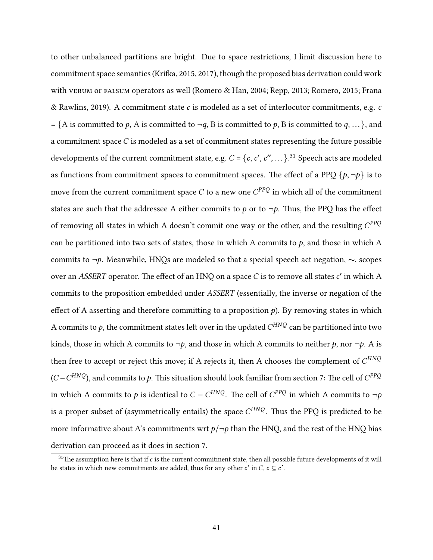to other unbalanced partitions are bright. Due to space restrictions, I limit discussion here to commitment space semantics (Krifka, 2015, [2017\)](#page-44-1), though the proposed bias derivation could work with vertum or falsum operators as well [\(Romero & Han, 2004;](#page-45-0) [Repp, 2013;](#page-44-2) [Romero, 2015;](#page-44-3) [Frana](#page-42-0) [& Rawlins, 2019\)](#page-42-0). A commitment state c is modeled as a set of interlocutor commitments, e.g. c = {A is committed to p, A is committed to  $\neg q$ , B is committed to p, B is committed to q, ...}, and a commitment space  $C$  is modeled as a set of commitment states representing the future possible developments of the current commitment state, e.g.  $C = \{c, c', c'', \dots\}$ .<sup>[31](#page-40-0)</sup> Speech acts are modeled as functions from commitment spaces to commitment spaces. The effect of a PPQ  $\{p, \neg p\}$  is to move from the current commitment space  $C$  to a new one  $C^{PPQ}$  in which all of the commitment states are such that the addressee A either commits to p or to  $\neg p$ . Thus, the PPQ has the effect of removing all states in which A doesn't commit one way or the other, and the resulting  $C^{PPQ}$ can be partitioned into two sets of states, those in which A commits to  $p$ , and those in which A commits to <sup>¬</sup>p. Meanwhile, HNQs are modeled so that a special speech act negation, <sup>∼</sup>, scopes over an *ASSERT* operator. The effect of an HNQ on a space C is to remove all states  $c'$  in which A commits to the proposition embedded under ASSERT (essentially, the inverse or negation of the effect of A asserting and therefore committing to a proposition  $p$ ). By removing states in which A commits to  $p$ , the commitment states left over in the updated  $C^{H NQ}$  can be partitioned into two kinds, those in which A commits to  $\neg p$ , and those in which A commits to neither p, nor  $\neg p$ . A is then free to accept or reject this move; if A rejects it, then A chooses the complement of  $C^{H NQ}$  $(C - C^{H NQ})$ , and commits to  $p$ . This situation should look familiar from [section 7:](#page-28-0) The cell of  $C^{PPQ}$ in which A commits to p is identical to  $C - C^{H N Q}$ . The cell of  $C^{PP Q}$  in which A commits to  $\neg p$ is a proper subset of (asymmetrically entails) the space  $C^{H N Q}$ . Thus the PPQ is predicted to be more informative about A's commitments wrt  $p/\neg p$  than the HNQ, and the rest of the HNQ bias derivation can proceed as it does in [section 7.](#page-28-0)

<span id="page-40-0"></span> $31$ The assumption here is that if  $c$  is the current commitment state, then all possible future developments of it will be states in which new commitments are added, thus for any other  $c'$  in C,  $c \subseteq c'$ .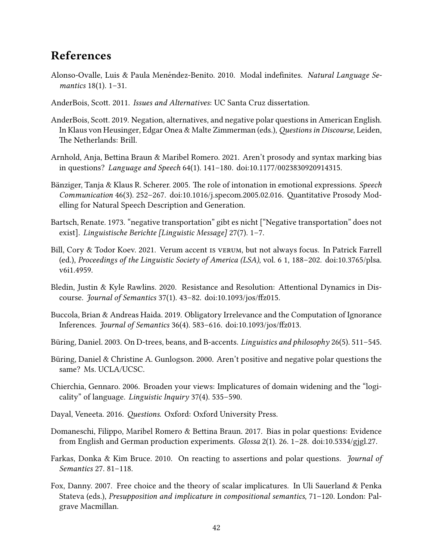# References

- <span id="page-41-12"></span>Alonso-Ovalle, Luis & Paula Menéndez-Benito. 2010. Modal indefinites. Natural Language Semantics 18(1). 1–31.
- <span id="page-41-1"></span>AnderBois, Scott. 2011. Issues and Alternatives: UC Santa Cruz dissertation.
- <span id="page-41-0"></span>AnderBois, Scott. 2019. Negation, alternatives, and negative polar questions in American English. In Klaus von Heusinger, Edgar Onea & Malte Zimmerman (eds.), Questions in Discourse, Leiden, The Netherlands: Brill.
- <span id="page-41-8"></span>Arnhold, Anja, Bettina Braun & Maribel Romero. 2021. Aren't prosody and syntax marking bias in questions? Language and Speech 64(1). 141–180. doi:10.1177/0023830920914315.
- <span id="page-41-9"></span>Bänziger, Tanja & Klaus R. Scherer. 2005. The role of intonation in emotional expressions. Speech Communication  $46(3)$ . 252-267. doi:10.1016/j.specom.2005.02.016. Quantitative Prosody Modelling for Natural Speech Description and Generation.
- <span id="page-41-7"></span>Bartsch, Renate. 1973. "negative transportation" gibt es nicht ["Negative transportation" does not exist]. Linguistische Berichte [Linguistic Message] 27(7). 1–7.
- <span id="page-41-2"></span>Bill, Cory & Todor Koev. 2021. Verum accent is verum, but not always focus. In Patrick Farrell (ed.), Proceedings of the Linguistic Society of America (LSA), vol. 6 1, 188–202. doi:10.3765/plsa. v6i1.4959.
- <span id="page-41-15"></span>Bledin, Justin & Kyle Rawlins. 2020. Resistance and Resolution: Attentional Dynamics in Discourse. Journal of Semantics  $37(1)$ .  $43-82$ . doi:10.1093/jos/ffz015.
- <span id="page-41-13"></span>Buccola, Brian & Andreas Haida. 2019. Obligatory Irrelevance and the Computation of Ignorance Inferences. Journal of Semantics 36(4). 583-616. doi:10.1093/jos/ffz013.
- <span id="page-41-5"></span>Büring, Daniel. 2003. On D-trees, beans, and B-accents. *Linguistics and philosophy* 26(5). 511–545.
- <span id="page-41-3"></span>Büring, Daniel & Christine A. Gunlogson. 2000. Aren't positive and negative polar questions the same? Ms. UCLA/UCSC.
- <span id="page-41-11"></span>Chierchia, Gennaro. 2006. Broaden your views: Implicatures of domain widening and the "logicality" of language. Linguistic Inquiry 37(4). 535–590.
- <span id="page-41-14"></span>Dayal, Veneeta. 2016. Questions. Oxford: Oxford University Press.
- <span id="page-41-4"></span>Domaneschi, Filippo, Maribel Romero & Bettina Braun. 2017. Bias in polar questions: Evidence from English and German production experiments. Glossa 2(1). 26. 1–28. doi:10.5334/gjgl.27.
- <span id="page-41-10"></span>Farkas, Donka & Kim Bruce. 2010. On reacting to assertions and polar questions. *Journal of* Semantics 27. 81–118.
- <span id="page-41-6"></span>Fox, Danny. 2007. Free choice and the theory of scalar implicatures. In Uli Sauerland & Penka Stateva (eds.), Presupposition and implicature in compositional semantics, 71–120. London: Palgrave Macmillan.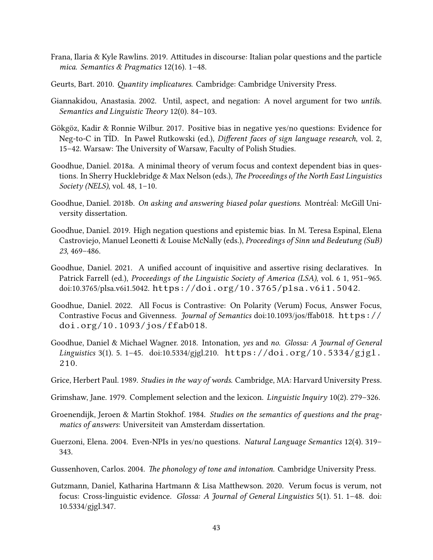- <span id="page-42-0"></span>Frana, Ilaria & Kyle Rawlins. 2019. Attitudes in discourse: Italian polar questions and the particle mica. Semantics & Pragmatics 12(16). 1–48.
- <span id="page-42-8"></span>Geurts, Bart. 2010. *Quantity implicatures*. Cambridge: Cambridge University Press.
- <span id="page-42-12"></span>Giannakidou, Anastasia. 2002. Until, aspect, and negation: A novel argument for two untils. Semantics and Linguistic Theory 12(0). 84-103.
- <span id="page-42-3"></span>Gökgöz, Kadir & Ronnie Wilbur. 2017. Positive bias in negative yes/no questions: Evidence for Neg-to-C in T˙ ID. In Paweł Rutkowski (ed.), Dierent faces of sign language research, vol. 2, 15–42. Warsaw: The University of Warsaw, Faculty of Polish Studies.
- <span id="page-42-5"></span>Goodhue, Daniel. 2018a. A minimal theory of verum focus and context dependent bias in questions. In Sherry Hucklebridge & Max Nelson (eds.), The Proceedings of the North East Linguistics Society (NELS), vol. 48, 1–10.
- <span id="page-42-4"></span>Goodhue, Daniel. 2018b. On asking and answering biased polar questions. Montréal: McGill University dissertation.
- <span id="page-42-13"></span>Goodhue, Daniel. 2019. High negation questions and epistemic bias. In M. Teresa Espinal, Elena Castroviejo, Manuel Leonetti & Louise McNally (eds.), Proceedings of Sinn und Bedeutung (SuB) 23, 469–486.
- <span id="page-42-11"></span>Goodhue, Daniel. 2021. A unified account of inquisitive and assertive rising declaratives. In Patrick Farrell (ed.), Proceedings of the Linguistic Society of America (LSA), vol. 6 1, 951–965. doi:10.3765/plsa.v6i1.5042. <https://doi.org/10.3765/plsa.v6i1.5042>.
- <span id="page-42-2"></span>Goodhue, Daniel. 2022. All Focus is Contrastive: On Polarity (Verum) Focus, Answer Focus, Contrastive Focus and Givenness. Journal of Semantics doi:10.1093/jos/ffab018. [https://](https://doi.org/10.1093/jos/ffab018) [doi.org/10.1093/jos/ffab018](https://doi.org/10.1093/jos/ffab018).
- <span id="page-42-9"></span>Goodhue, Daniel & Michael Wagner. 2018. Intonation, yes and no. Glossa: A Journal of General Linguistics 3(1). 5. 1–45. doi:10.5334/gjgl.210. [https://doi.org/10.5334/gjgl.](https://doi.org/10.5334/gjgl.210) [210](https://doi.org/10.5334/gjgl.210).
- <span id="page-42-6"></span>Grice, Herbert Paul. 1989. Studies in the way of words. Cambridge, MA: Harvard University Press.
- <span id="page-42-14"></span>Grimshaw, Jane. 1979. Complement selection and the lexicon. Linguistic Inquiry 10(2). 279–326.
- <span id="page-42-7"></span>Groenendijk, Jeroen & Martin Stokhof. 1984. Studies on the semantics of questions and the pragmatics of answers: Universiteit van Amsterdam dissertation.
- <span id="page-42-15"></span>Guerzoni, Elena. 2004. Even-NPIs in yes/no questions. Natural Language Semantics 12(4). 319– 343.
- <span id="page-42-10"></span>Gussenhoven, Carlos. 2004. The phonology of tone and intonation. Cambridge University Press.
- <span id="page-42-1"></span>Gutzmann, Daniel, Katharina Hartmann & Lisa Matthewson. 2020. Verum focus is verum, not focus: Cross-linguistic evidence. Glossa: A Journal of General Linguistics 5(1). 51. 1–48. doi: 10.5334/gjgl.347.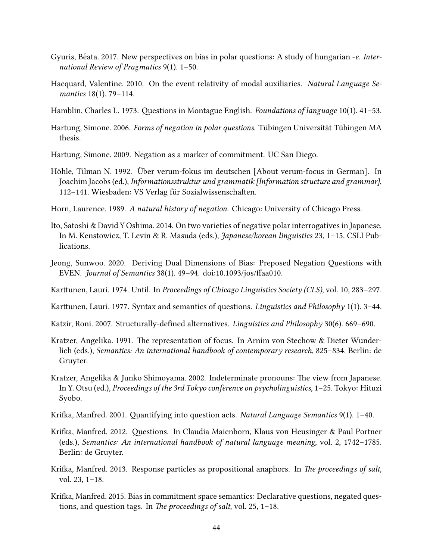- <span id="page-43-3"></span>Gyuris, Béata. 2017. New perspectives on bias in polar questions: A study of hungarian -e. International Review of Pragmatics 9(1). 1–50.
- <span id="page-43-15"></span>Hacquard, Valentine. 2010. On the event relativity of modal auxiliaries. Natural Language Semantics 18(1). 79–114.
- <span id="page-43-6"></span>Hamblin, Charles L. 1973. Questions in Montague English. Foundations of language 10(1).  $41-53$ .
- <span id="page-43-10"></span>Hartung, Simone. 2006. Forms of negation in polar questions. Tübingen Universität Tübingen MA thesis.
- <span id="page-43-2"></span>Hartung, Simone. 2009. Negation as a marker of commitment. UC San Diego.
- <span id="page-43-1"></span>Höhle, Tilman N. 1992. Über verum-fokus im deutschen [About verum-focus in German]. In Joachim Jacobs (ed.), Informationsstruktur und grammatik [Information structure and grammar], 112–141. Wiesbaden: VS Verlag für Sozialwissenschaften.
- <span id="page-43-8"></span>Horn, Laurence. 1989. A natural history of negation. Chicago: University of Chicago Press.
- <span id="page-43-4"></span>Ito, Satoshi & David Y Oshima. 2014. On two varieties of negative polar interrogatives in Japanese. In M. Kenstowicz, T. Levin & R. Masuda (eds.), Japanese/korean linguistics 23, 1–15. CSLI Publications.
- <span id="page-43-0"></span>Jeong, Sunwoo. 2020. Deriving Dual Dimensions of Bias: Preposed Negation Questions with EVEN. Journal of Semantics 38(1). 49-94. doi:10.1093/jos/ffaa010.
- <span id="page-43-12"></span>Karttunen, Lauri. 1974. Until. In Proceedings of Chicago Linguistics Society (CLS), vol. 10, 283–297.
- <span id="page-43-7"></span>Karttunen, Lauri. 1977. Syntax and semantics of questions. *Linguistics and Philosophy* 1(1). 3–44.
- <span id="page-43-16"></span>Katzir, Roni. 2007. Structurally-defined alternatives. Linguistics and Philosophy 30(6). 669–690.
- <span id="page-43-5"></span>Kratzer, Angelika. 1991. The representation of focus. In Arnim von Stechow & Dieter Wunderlich (eds.), Semantics: An international handbook of contemporary research, 825–834. Berlin: de Gruyter.
- <span id="page-43-14"></span>Kratzer, Angelika & Junko Shimoyama. 2002. Indeterminate pronouns: The view from Japanese. In Y. Otsu (ed.), Proceedings of the 3rd Tokyo conference on psycholinguistics, 1–25. Tokyo: Hituzi Syobo.
- <span id="page-43-13"></span>Krifka, Manfred. 2001. Quantifying into question acts. Natural Language Semantics 9(1). 1–40.
- <span id="page-43-9"></span>Krifka, Manfred. 2012. Questions. In Claudia Maienborn, Klaus von Heusinger & Paul Portner (eds.), Semantics: An international handbook of natural language meaning, vol. 2, 1742–1785. Berlin: de Gruyter.
- <span id="page-43-11"></span>Krifka, Manfred. 2013. Response particles as propositional anaphors. In The proceedings of salt, vol. 23, 1–18.
- <span id="page-43-17"></span>Krifka, Manfred. 2015. Bias in commitment space semantics: Declarative questions, negated questions, and question tags. In The proceedings of salt, vol.  $25$ ,  $1-18$ .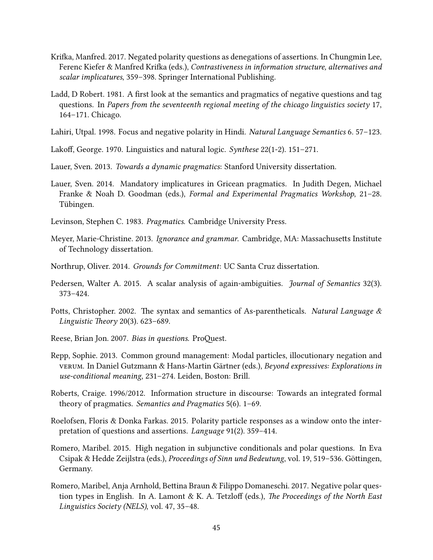- <span id="page-44-1"></span>Krifka, Manfred. 2017. Negated polarity questions as denegations of assertions. In Chungmin Lee, Ferenc Kiefer & Manfred Krifka (eds.), Contrastiveness in information structure, alternatives and scalar implicatures, 359–398. Springer International Publishing.
- <span id="page-44-0"></span>Ladd, D Robert. 1981. A first look at the semantics and pragmatics of negative questions and tag questions. In Papers from the seventeenth regional meeting of the chicago linguistics society 17, 164–171. Chicago.
- <span id="page-44-10"></span>Lahiri, Utpal. 1998. Focus and negative polarity in Hindi. Natural Language Semantics 6. 57–123.
- <span id="page-44-15"></span>Lakoff, George. 1970. Linguistics and natural logic. Synthese  $22(1-2)$ . 151–271.
- <span id="page-44-13"></span>Lauer, Sven. 2013. Towards a dynamic pragmatics: Stanford University dissertation.
- <span id="page-44-14"></span>Lauer, Sven. 2014. Mandatory implicatures in Gricean pragmatics. In Judith Degen, Michael Franke & Noah D. Goodman (eds.), Formal and Experimental Pragmatics Workshop, 21–28. Tübingen.
- <span id="page-44-16"></span>Levinson, Stephen C. 1983. Pragmatics. Cambridge University Press.
- <span id="page-44-12"></span>Meyer, Marie-Christine. 2013. Ignorance and grammar. Cambridge, MA: Massachusetts Institute of Technology dissertation.
- <span id="page-44-11"></span>Northrup, Oliver. 2014. Grounds for Commitment: UC Santa Cruz dissertation.
- <span id="page-44-8"></span>Pedersen, Walter A. 2015. A scalar analysis of again-ambiguities. *Journal of Semantics* 32(3). 373–424.
- <span id="page-44-9"></span>Potts, Christopher. 2002. The syntax and semantics of As-parentheticals. Natural Language  $\&$ Linguistic Theory 20(3).  $623-689$ .
- <span id="page-44-6"></span>Reese, Brian Jon. 2007. Bias in questions. ProQuest.
- <span id="page-44-2"></span>Repp, Sophie. 2013. Common ground management: Modal particles, illocutionary negation and verum. In Daniel Gutzmann & Hans-Martin Gärtner (eds.), Beyond expressives: Explorations in use-conditional meaning, 231–274. Leiden, Boston: Brill.
- <span id="page-44-5"></span>Roberts, Craige. 1996/2012. Information structure in discourse: Towards an integrated formal theory of pragmatics. Semantics and Pragmatics 5(6). 1–69.
- <span id="page-44-7"></span>Roelofsen, Floris & Donka Farkas. 2015. Polarity particle responses as a window onto the interpretation of questions and assertions. Language 91(2). 359–414.
- <span id="page-44-3"></span>Romero, Maribel. 2015. High negation in subjunctive conditionals and polar questions. In Eva Csipak & Hedde Zeijlstra (eds.), Proceedings of Sinn und Bedeutung, vol. 19, 519–536. Göttingen, Germany.
- <span id="page-44-4"></span>Romero, Maribel, Anja Arnhold, Bettina Braun & Filippo Domaneschi. 2017. Negative polar question types in English. In A. Lamont & K. A. Tetzloff (eds.), The Proceedings of the North East Linguistics Society (NELS), vol. 47, 35–48.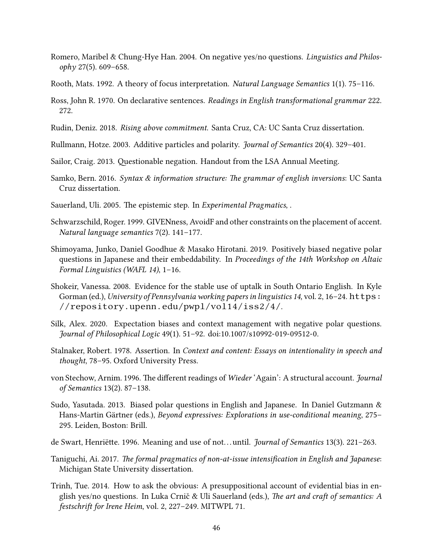- <span id="page-45-0"></span>Romero, Maribel & Chung-Hye Han. 2004. On negative yes/no questions. Linguistics and Philosophy 27(5). 609–658.
- <span id="page-45-6"></span>Rooth, Mats. 1992. A theory of focus interpretation. Natural Language Semantics 1(1). 75–116.
- <span id="page-45-17"></span>Ross, John R. 1970. On declarative sentences. Readings in English transformational grammar 222. 272.
- <span id="page-45-16"></span>Rudin, Deniz. 2018. Rising above commitment. Santa Cruz, CA: UC Santa Cruz dissertation.
- <span id="page-45-11"></span>Rullmann, Hotze. 2003. Additive particles and polarity. Journal of Semantics 20(4). 329–401.
- <span id="page-45-12"></span>Sailor, Craig. 2013. Questionable negation. Handout from the LSA Annual Meeting.
- <span id="page-45-1"></span>Samko, Bern. 2016. Syntax & information structure: The grammar of english inversions: UC Santa Cruz dissertation.
- <span id="page-45-9"></span>Sauerland, Uli. 2005. The epistemic step. In Experimental Pragmatics, .
- <span id="page-45-7"></span>Schwarzschild, Roger. 1999. GIVENness, AvoidF and other constraints on the placement of accent. Natural language semantics 7(2). 141–177.
- <span id="page-45-5"></span>Shimoyama, Junko, Daniel Goodhue & Masako Hirotani. 2019. Positively biased negative polar questions in Japanese and their embeddability. In Proceedings of the 14th Workshop on Altaic Formal Linguistics (WAFL 14), 1–16.
- <span id="page-45-14"></span>Shokeir, Vanessa. 2008. Evidence for the stable use of uptalk in South Ontario English. In Kyle Gorman (ed.), University of Pennsylvania working papers in linguistics 14, vol. 2, 16–24. [https:](https://repository.upenn.edu/pwpl/vol14/iss2/4/) [//repository.upenn.edu/pwpl/vol14/iss2/4/](https://repository.upenn.edu/pwpl/vol14/iss2/4/).
- <span id="page-45-3"></span>Silk, Alex. 2020. Expectation biases and context management with negative polar questions. Journal of Philosophical Logic 49(1). 51–92. doi:10.1007/s10992-019-09512-0.
- <span id="page-45-8"></span>Stalnaker, Robert. 1978. Assertion. In Context and content: Essays on intentionality in speech and thought, 78–95. Oxford University Press.
- <span id="page-45-13"></span>von Stechow, Arnim. 1996. The different readings of Wieder 'Again': A structural account. Journal of Semantics 13(2). 87–138.
- <span id="page-45-4"></span>Sudo, Yasutada. 2013. Biased polar questions in English and Japanese. In Daniel Gutzmann & Hans-Martin Gärtner (eds.), Beyond expressives: Explorations in use-conditional meaning, 275– 295. Leiden, Boston: Brill.
- <span id="page-45-15"></span>de Swart, Henriëtte. 1996. Meaning and use of not... until. *Journal of Semantics* 13(3). 221–263.
- <span id="page-45-2"></span>Taniguchi, Ai. 2017. The formal pragmatics of non-at-issue intensification in English and Japanese: Michigan State University dissertation.
- <span id="page-45-10"></span>Trinh, Tue. 2014. How to ask the obvious: A presuppositional account of evidential bias in english yes/no questions. In Luka Crnič & Uli Sauerland (eds.), The art and craft of semantics: A festschrift for Irene Heim, vol. 2, 227-249. MITWPL 71.